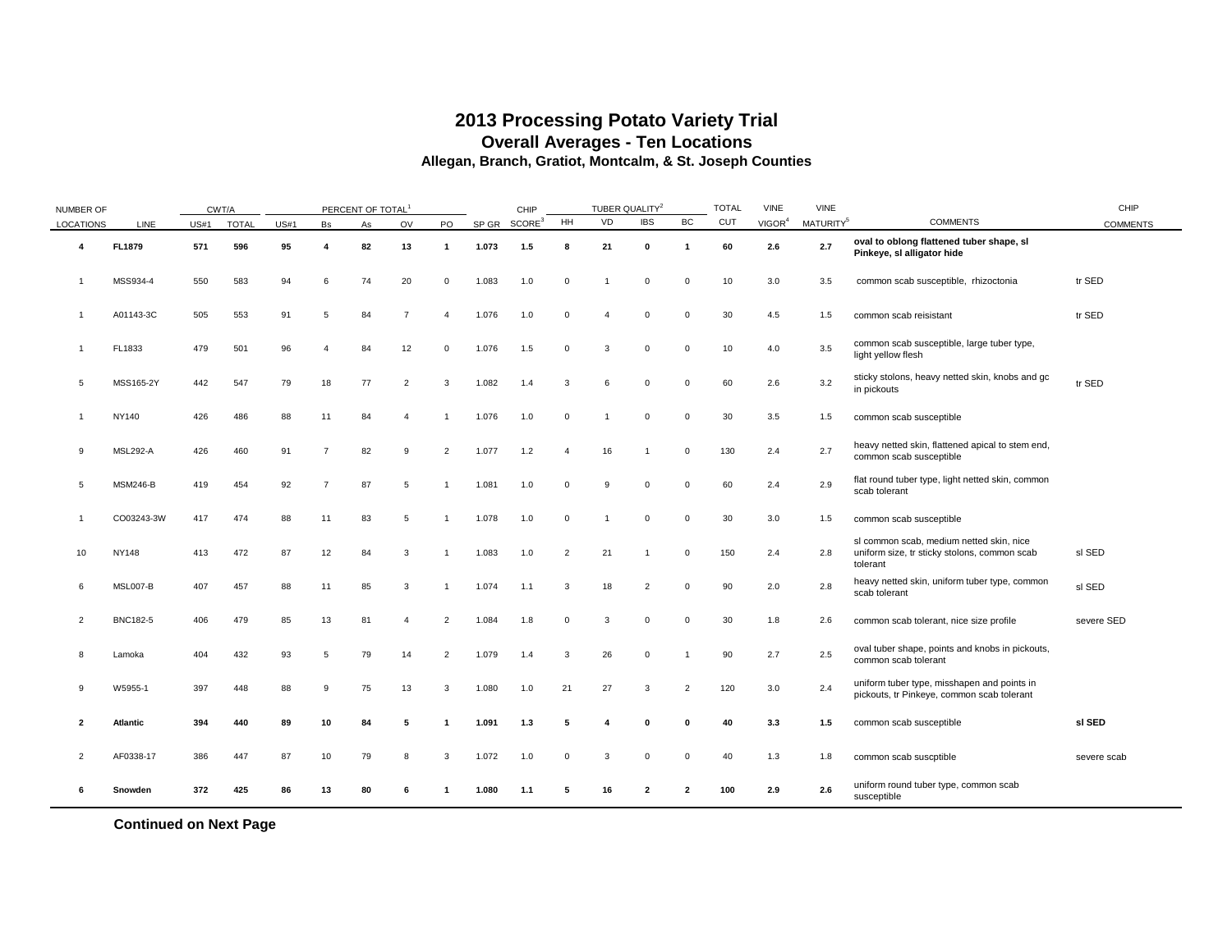### **2013 Processing Potato Variety Trial Overall Averages - Ten Locations Allegan, Branch, Gratiot, Montcalm, & St. Joseph Counties**

| <b>NUMBER OF</b> |                 |      | CWT/A        |             |                | PERCENT OF TOTAL |                |                |       | CHIP               |                | TUBER QUALITY <sup>2</sup> |                         |                         | <b>TOTAL</b> | <b>VINE</b>        | VINE                  |                                                                                                      | CHIP            |
|------------------|-----------------|------|--------------|-------------|----------------|------------------|----------------|----------------|-------|--------------------|----------------|----------------------------|-------------------------|-------------------------|--------------|--------------------|-----------------------|------------------------------------------------------------------------------------------------------|-----------------|
| LOCATIONS        | LINE            | US#1 | <b>TOTAL</b> | <b>US#1</b> | Bs             | As               | OV             | PO             | SP GR | SCORE <sup>3</sup> | HH             | VD                         | <b>IBS</b>              | BC                      | <b>CUT</b>   | VIGOR <sup>4</sup> | MATURITY <sup>5</sup> | <b>COMMENTS</b>                                                                                      | <b>COMMENTS</b> |
| $\overline{4}$   | <b>FL1879</b>   | 571  | 596          | 95          | 4              | 82               | 13             | $\mathbf{1}$   | 1.073 | 1.5                | 8              | 21                         | 0                       | $\overline{\mathbf{1}}$ | 60           | 2.6                | 2.7                   | oval to oblong flattened tuber shape, sl<br>Pinkeye, sl alligator hide                               |                 |
| 1                | MSS934-4        | 550  | 583          | 94          | 6              | 74               | 20             | $\mathbf 0$    | 1.083 | 1.0                | $\mathbf 0$    |                            | $\mathbf 0$             | $\overline{0}$          | 10           | 3.0                | 3.5                   | common scab susceptible, rhizoctonia                                                                 | tr SED          |
| -1               | A01143-3C       | 505  | 553          | 91          | -5             | 84               | $\overline{7}$ | $\overline{4}$ | 1.076 | 1.0                | $^{\circ}$     | 4                          | 0                       | $\mathbf 0$             | 30           | 4.5                | 1.5                   | common scab reisistant                                                                               | tr SED          |
| 1                | FL1833          | 479  | 501          | 96          |                | 84               | 12             | 0              | 1.076 | 1.5                | $\mathbf 0$    | 3                          | $\mathbf 0$             | $\overline{0}$          | 10           | 4.0                | 3.5                   | common scab susceptible, large tuber type,<br>light yellow flesh                                     |                 |
| 5                | MSS165-2Y       | 442  | 547          | 79          | 18             | 77               | $\overline{2}$ | 3              | 1.082 | 1.4                | 3              | 6                          | $\mathbf 0$             | $\overline{0}$          | 60           | 2.6                | 3.2                   | sticky stolons, heavy netted skin, knobs and gc<br>in pickouts                                       | tr SED          |
| 1                | NY140           | 426  | 486          | 88          | 11             | 84               | $\overline{4}$ | $\mathbf{1}$   | 1.076 | 1.0                | $\mathbf 0$    |                            | $\mathbf 0$             | $\mathbf 0$             | 30           | 3.5                | 1.5                   | common scab susceptible                                                                              |                 |
| 9                | <b>MSL292-A</b> | 426  | 460          | 91          | $\overline{7}$ | 82               | 9              | $\overline{2}$ | 1.077 | 1.2                | $\overline{4}$ | 16                         | $\overline{1}$          | $\overline{0}$          | 130          | 2.4                | 2.7                   | heavy netted skin, flattened apical to stem end,<br>common scab susceptible                          |                 |
| 5                | <b>MSM246-B</b> | 419  | 454          | 92          | $\overline{7}$ | 87               | 5              | -1             | 1.081 | 1.0                | $\mathbf 0$    | 9                          | $\mathbf 0$             | $\mathbf 0$             | 60           | 2.4                | 2.9                   | flat round tuber type, light netted skin, common<br>scab tolerant                                    |                 |
| 1                | CO03243-3W      | 417  | 474          | 88          | 11             | 83               | 5              | -1             | 1.078 | 1.0                | $\mathbf 0$    |                            | $\mathbf 0$             | $\Omega$                | 30           | 3.0                | 1.5                   | common scab susceptible                                                                              |                 |
| 10               | <b>NY148</b>    | 413  | 472          | 87          | 12             | 84               | 3              | -1             | 1.083 | 1.0                | $\overline{2}$ | 21                         |                         | $\mathbf 0$             | 150          | 2.4                | 2.8                   | sl common scab, medium netted skin, nice<br>uniform size, tr sticky stolons, common scab<br>tolerant | sl SED          |
| 6                | MSL007-B        | 407  | 457          | 88          | 11             | 85               | 3              | -1             | 1.074 | 1.1                | 3              | 18                         | $\overline{2}$          | $\mathbf 0$             | 90           | 2.0                | 2.8                   | heavy netted skin, uniform tuber type, common<br>scab tolerant                                       | sl SED          |
| $\overline{2}$   | <b>BNC182-5</b> | 406  | 479          | 85          | 13             | 81               | $\overline{4}$ | $\overline{2}$ | 1.084 | 1.8                | $\mathbf 0$    | 3                          | $\mathbf 0$             | $\Omega$                | 30           | 1.8                | 2.6                   | common scab tolerant, nice size profile                                                              | severe SED      |
| 8                | Lamoka          | 404  | 432          | 93          | 5              | 79               | 14             | $\overline{2}$ | 1.079 | 1.4                | 3              | 26                         | $\mathbf 0$             | -1                      | 90           | 2.7                | 2.5                   | oval tuber shape, points and knobs in pickouts,<br>common scab tolerant                              |                 |
| 9                | W5955-1         | 397  | 448          | 88          | 9              | 75               | 13             | 3              | 1.080 | 1.0                | 21             | 27                         | 3                       | $\overline{2}$          | 120          | 3.0                | 2.4                   | uniform tuber type, misshapen and points in<br>pickouts, tr Pinkeye, common scab tolerant            |                 |
| $\overline{2}$   | Atlantic        | 394  | 440          | 89          | 10             | 84               | 5              | 1              | 1.091 | 1.3                | 5              |                            | $\bf{0}$                | 0                       | 40           | 3.3                | 1.5                   | common scab susceptible                                                                              | sl SED          |
| $\overline{2}$   | AF0338-17       | 386  | 447          | 87          | 10             | 79               | 8              | 3              | 1.072 | 1.0                | $^{\circ}$     | 3                          | $\mathbf 0$             | $\mathbf{0}$            | 40           | 1.3                | 1.8                   | common scab suscptible                                                                               | severe scab     |
| 6                | Snowden         | 372  | 425          | 86          | 13             | 80               | 6              | -1             | 1.080 | 1.1                | 5              | 16                         | $\overline{\mathbf{2}}$ | $\overline{2}$          | 100          | 2.9                | 2.6                   | uniform round tuber type, common scab<br>susceptible                                                 |                 |

**Continued on Next Page**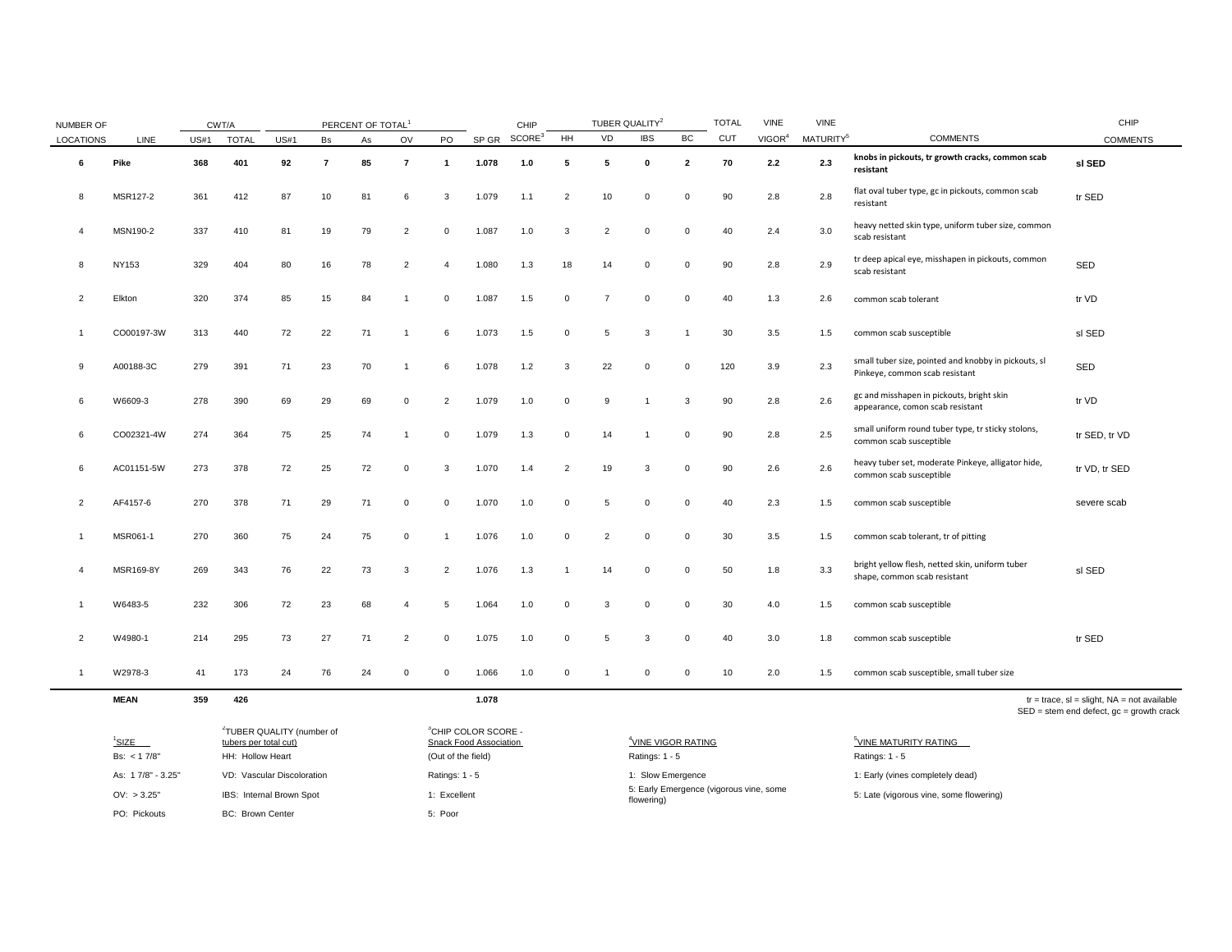| <b>NUMBER OF</b> |             |                                                                            | CWT/A        |             |                | PERCENT OF TOTAL <sup>1</sup> |                |                |       | CHIP               |                | TUBER QUALITY <sup>2</sup> |                |                | <b>TOTAL</b> | <b>VINE</b>        | <b>VINE</b>           |                                                                                        | CHIP            |
|------------------|-------------|----------------------------------------------------------------------------|--------------|-------------|----------------|-------------------------------|----------------|----------------|-------|--------------------|----------------|----------------------------|----------------|----------------|--------------|--------------------|-----------------------|----------------------------------------------------------------------------------------|-----------------|
| <b>LOCATIONS</b> | LINE        | US#1                                                                       | <b>TOTAL</b> | <b>US#1</b> | Bs             | As                            | OV             | PO             | SP GR | SCORE <sup>3</sup> | <b>HH</b>      | VD                         | <b>IBS</b>     | BC             | <b>CUT</b>   | VIGOR <sup>4</sup> | MATURITY <sup>5</sup> | <b>COMMENTS</b>                                                                        | <b>COMMENTS</b> |
| 6                | Pike        | 368                                                                        | 401          | 92          | $\overline{7}$ | 85                            | $\overline{7}$ | $\mathbf{1}$   | 1.078 | $1.0$              | 5              | 5                          | $\mathbf 0$    | $\overline{2}$ | 70           | 2.2                | 2.3                   | knobs in pickouts, tr growth cracks, common scab<br>resistant                          | sl SED          |
| 8                | MSR127-2    | 361                                                                        | 412          | 87          | 10             | 81                            | 6              | 3              | 1.079 | 1.1                | $\overline{2}$ | 10                         | $\mathbf 0$    | $\Omega$       | 90           | 2.8                | 2.8                   | flat oval tuber type, gc in pickouts, common scab<br>resistant                         | tr SED          |
|                  | MSN190-2    | 337                                                                        | 410          | 81          | 19             | 79                            | $\overline{2}$ | $\mathbf 0$    | 1.087 | 1.0                | 3              | 2                          | $\overline{0}$ | $\Omega$       | 40           | 2.4                | 3.0                   | heavy netted skin type, uniform tuber size, common<br>scab resistant                   |                 |
| 8                | NY153       | 329                                                                        | 404          | 80          | 16             | 78                            | 2              | $\overline{4}$ | 1.080 | 1.3                | 18             | 14                         | $\mathbf 0$    | $\mathbf 0$    | 90           | 2.8                | 2.9                   | tr deep apical eye, misshapen in pickouts, common<br>scab resistant                    | SED             |
| $\overline{2}$   | Elkton      | 320                                                                        | 374          | 85          | 15             | 84                            |                | $\Omega$       | 1.087 | 1.5                | $\mathbf 0$    | $\overline{7}$             | $\Omega$       | $\Omega$       | 40           | 1.3                | 2.6                   | common scab tolerant                                                                   | tr VD           |
|                  | CO00197-3W  | 313                                                                        | 440          | 72          | 22             | 71                            |                | 6              | 1.073 | 1.5                | $\mathbf 0$    | 5                          | 3              |                | 30           | 3.5                | 1.5                   | common scab susceptible                                                                | sl SED          |
| 9                | A00188-3C   | 279                                                                        | 391          | 71          | 23             | 70                            |                | 6              | 1.078 | 1.2                | 3              | 22                         | $\mathbf 0$    | $\Omega$       | 120          | 3.9                | 2.3                   | small tuber size, pointed and knobby in pickouts, sl<br>Pinkeye, common scab resistant | SED             |
| 6                | W6609-3     | 278                                                                        | 390          | 69          | 29             | 69                            | $\mathbf 0$    | $\overline{2}$ | 1.079 | 1.0                | $\mathbf 0$    | 9                          | $\overline{1}$ | 3              | 90           | 2.8                | 2.6                   | gc and misshapen in pickouts, bright skin<br>appearance, comon scab resistant          | tr VD           |
| 6                | CO02321-4W  | 274                                                                        | 364          | 75          | 25             | 74                            |                | $\mathbf{0}$   | 1.079 | 1.3                | $\mathbf 0$    | 14                         | $\overline{1}$ | $\Omega$       | 90           | 2.8                | 2.5                   | small uniform round tuber type, tr sticky stolons,<br>common scab susceptible          | tr SED, tr VD   |
| 6                | AC01151-5W  | 273                                                                        | 378          | 72          | 25             | 72                            | $\mathbf 0$    | 3              | 1.070 | 1.4                | $\overline{2}$ | 19                         | 3              | $\Omega$       | 90           | 2.6                | 2.6                   | heavy tuber set, moderate Pinkeye, alligator hide,<br>common scab susceptible          | tr VD, tr SED   |
| 2                | AF4157-6    | 270                                                                        | 378          | 71          | 29             | 71                            | $\mathbf{0}$   | $\Omega$       | 1.070 | 1.0                | $\mathbf 0$    | 5                          | $\Omega$       | $\Omega$       | 40           | 2.3                | 1.5                   | common scab susceptible                                                                | severe scab     |
|                  | MSR061-1    | 270                                                                        | 360          | 75          | 24             | 75                            | $\mathbf 0$    |                | 1.076 | 1.0                | $\mathbf 0$    | $\overline{2}$             | $\Omega$       |                | 30           | 3.5                | 1.5                   | common scab tolerant, tr of pitting                                                    |                 |
| $\overline{4}$   | MSR169-8Y   | 269                                                                        | 343          | 76          | 22             | 73                            | 3              | $\overline{2}$ | 1.076 | 1.3                |                | 14                         | $\mathbf 0$    | $\Omega$       | 50           | 1.8                | 3.3                   | bright yellow flesh, netted skin, uniform tuber<br>shape, common scab resistant        | sl SED          |
|                  | W6483-5     | 232                                                                        | 306          | 72          | 23             | 68                            |                | 5              | 1.064 | 1.0                | $^{\circ}$     | 3                          | $\mathbf 0$    | $\Omega$       | 30           | 4.0                | 1.5                   | common scab susceptible                                                                |                 |
| $\overline{2}$   | W4980-1     | 214                                                                        | 295          | 73          | 27             | 71                            | 2              | 0              | 1.075 | 1.0                | $^{\circ}$     | 5                          | 3              |                | 40           | 3.0                | 1.8                   | common scab susceptible                                                                | tr SED          |
| -1               | W2978-3     | 41                                                                         | 173          | 24          | 76             | 24                            | $\mathbf 0$    | $\Omega$       | 1.066 | 1.0                | $\mathbf 0$    | $\mathbf{1}$               | $\Omega$       | $\Omega$       | 10           | 2.0                | 1.5                   | common scab susceptible, small tuber size                                              |                 |
|                  | <b>MEAN</b> | 359<br>426<br>1.078<br>$tr = trace$ , $sl = slight$ , $NA = not available$ |              |             |                |                               |                |                |       |                    |                |                            |                |                |              |                    |                       |                                                                                        |                 |

| $^1$ SIZE         | <sup>2</sup> TUBER QUALITY (number of<br>tubers per total cut) | <sup>3</sup> CHIP COLOR SCORE -<br>Snack Food Association | <sup>4</sup> VINE VIGOR RATING                        | <sup>3</sup> VINE MATURITY RATING       |
|-------------------|----------------------------------------------------------------|-----------------------------------------------------------|-------------------------------------------------------|-----------------------------------------|
| Bs: $< 17/8"$     | HH: Hollow Heart                                               | (Out of the field)                                        | Ratings: 1 - 5                                        | Ratings: $1 - 5$                        |
| As: 17/8" - 3.25" | VD: Vascular Discoloration                                     | Ratings: 1 - 5                                            | 1: Slow Emergence                                     | 1: Early (vines completely dead)        |
| OV: > 3.25"       | IBS: Internal Brown Spot                                       | Excellent                                                 | 5: Early Emergence (vigorous vine, some<br>flowering) | 5: Late (vigorous vine, some flowering) |
| PO: Pickouts      | <b>BC: Brown Center</b>                                        | 5: Poor                                                   |                                                       |                                         |

SED = stem end defect, gc = growth crack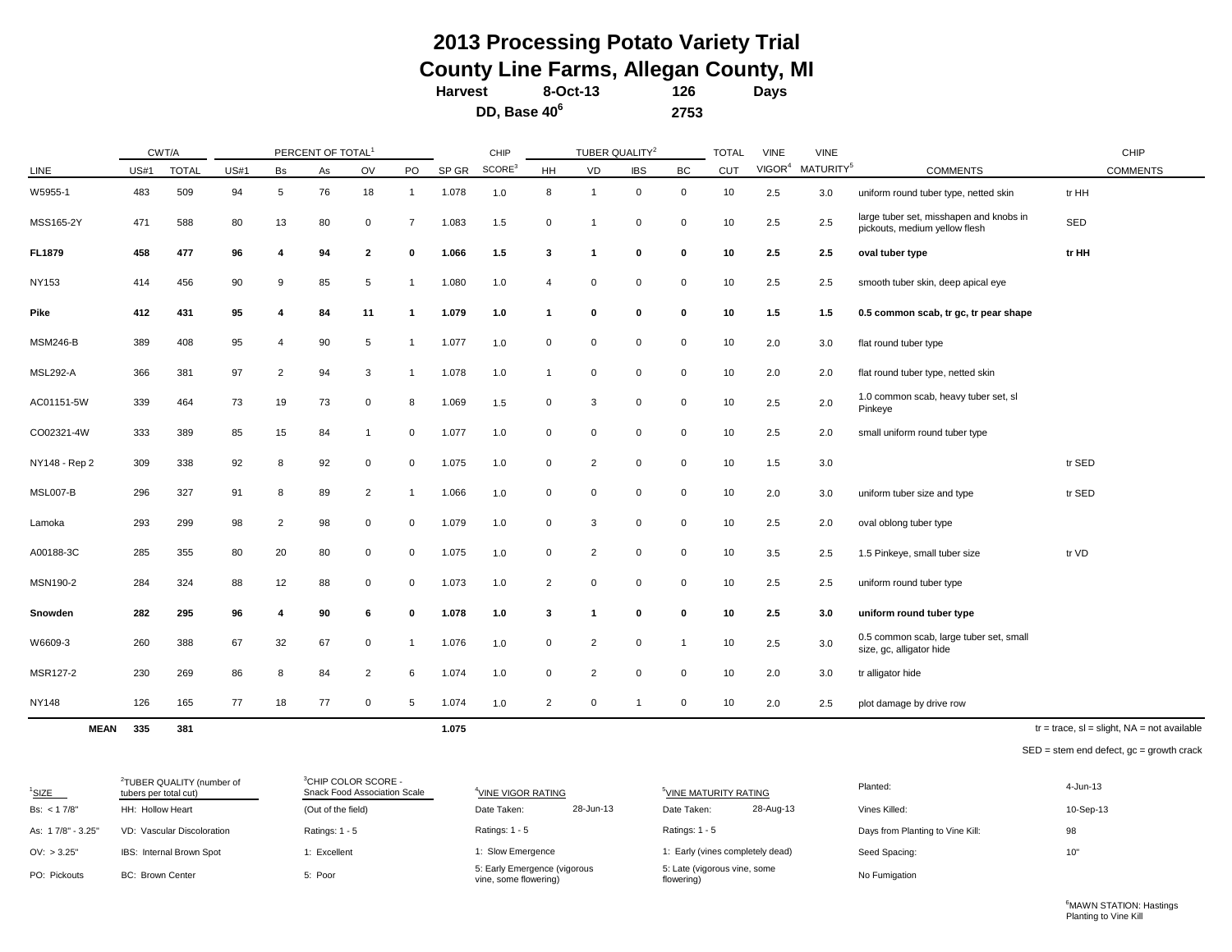## **Harvest 126 Days 8-Oct-13 2013 Processing Potato Variety Trial County Line Farms, Allegan County, MI**

**2753**

**DD, Base 40<sup>6</sup>**

CHIP TOTAL VINE VINE CHIP LINE  $\,$  US#1 TOTAL US#1 Bs As OV PO SP $\,$ GR  $^{SCORE^3}$ HH VD IBS BC CUT VIGOR<sup>4</sup> MATURITY<sup>5</sup> COMMENTS COMMENTS W5955-1 483 509 94 5 76 18 1 1.078 1.0 8 1 0 0 10 2.5 3.0 uniform round tuber type, netted skin tr HH MSS165-2Y <sup>471</sup> <sup>588</sup> <sup>80</sup> <sup>13</sup> <sup>80</sup> <sup>0</sup> <sup>7</sup> 1.083 1.5 <sup>0</sup> <sup>1</sup> <sup>0</sup> <sup>0</sup> <sup>10</sup> 2.5 2.5 large tuber set, misshapen and knobs in pickouts, medium vellow flesh SED pickouts, medium vellow flesh **FL1879 458 477 96 4 94 2 0 1.066 1.5 3 1 0 0 10 2.5 2.5 oval tuber type tr HH** NY153 414 456 90 9 85 5 1 1.080 1.0 4 0 0 0 10 2.5 2.5 smooth tuber skin, deep apical eye **Pike 412 431 95 4 84 11 1 1.079 1.0 1 0 0 0 10 1.5 1.5 0.5 common scab, tr gc, tr pear shape** MSM246-B 389 408 95 4 90 5 1 1.077 1.0 0 0 0 0 10 2.0 3.0 flat round tuber type MSL292-A 366 381 97 2 94 3 1 1.078 1.0 1 0 0 0 10 2.0 2.0 flat round tuber type, netted skin AC01151-5W 339 464 73 19 73 0 8 1.069 1.5 0 3 0 0 10 2.5 2.0 1.0 common scab, heavy tuber set, sl Pinkeye CO02321-4W 333 389 85 15 84 1 0 1.077 1.0 0 0 0 0 10 2.5 2.0 small uniform round tuber type NY148 - Rep 2 309 338 92 8 92 0 0 1.075 1.0 0 2 0 0 10 1.5 3.0 tr SED MSL007-B 296 327 91 8 89 2 1 1.066 1.0 0 0 0 0 10 2.0 3.0 uniform tuber size and type tr SED Lamoka 293 299 98 2 98 0 0 1.079 1.0 0 3 0 0 10 2.5 2.0 oval oblong tuber type A00188-3C 285 355 80 20 80 0 0 1.075 1.0 0 2 0 0 10 3.5 2.5 1.5 Pinkeye, small tuber size tr VD MSN190-2 284 324 88 12 88 0 0 1.073 1.0 2 0 0 0 10 2.5 2.5 uniform round tuber type **Snowden 282 295 96 4 90 6 0 1.078 1.0 3 1 0 0 10 2.5 3.0 uniform round tuber type** W6609-3 260 388 67 32 67 0 1 1.076 1.0 0 2 0 1 10 2.5 3.0 0.5 common scab, large tuber set, small size, gc, alligator hide MSR127-2 230 269 86 8 84 2 6 1.074 1.0 0 2 0 0 10 2.0 3.0 tr alligator hide NY148 126 165 77 18 77 0 5 1.074 1.0 2 0 1 0 10 2.0 2.5 plot damage by drive row TUBER QUALITY<sup>2</sup> PERCENT OF TOTAL<sup>1</sup> CWT/A

**MEAN 335 381 1.075**

 $tr = trace$ ,  $sl = slight$ ,  $NA = not available$ 

SED = stem end defect, gc = growth crack

| $1$ SIZE          | <sup>2</sup> TUBER QUALITY (number of<br>tubers per total cut) | <sup>3</sup> CHIP COLOR SCORE -<br>Snack Food Association Scale | <sup>4</sup> VINE VIGOR RATING                        |           | <sup>5</sup> VINE MATURITY RATING          |           | Planted:                         | 4-Jun-13  |
|-------------------|----------------------------------------------------------------|-----------------------------------------------------------------|-------------------------------------------------------|-----------|--------------------------------------------|-----------|----------------------------------|-----------|
| Bs: $< 17/8"$     | HH: Hollow Heart                                               | (Out of the field)                                              | Date Taken:                                           | 28-Jun-13 | Date Taken:                                | 28-Aug-13 | Vines Killed:                    | 10-Sep-13 |
| As: 17/8" - 3.25" | VD: Vascular Discoloration                                     | Ratings: $1 - 5$                                                | Ratings: $1 - 5$                                      |           | Ratings: $1 - 5$                           |           | Days from Planting to Vine Kill: | 98        |
| OV: > 3.25"       | IBS: Internal Brown Spot                                       | 1: Excellent                                                    | 1: Slow Emergence                                     |           | 1: Early (vines completely dead)           |           | Seed Spacing:                    | 10"       |
| PO: Pickouts      | <b>BC: Brown Center</b>                                        | 5: Poor                                                         | 5: Early Emergence (vigorous<br>vine, some flowering) |           | 5: Late (vigorous vine, some<br>flowering) |           | No Fumigation                    |           |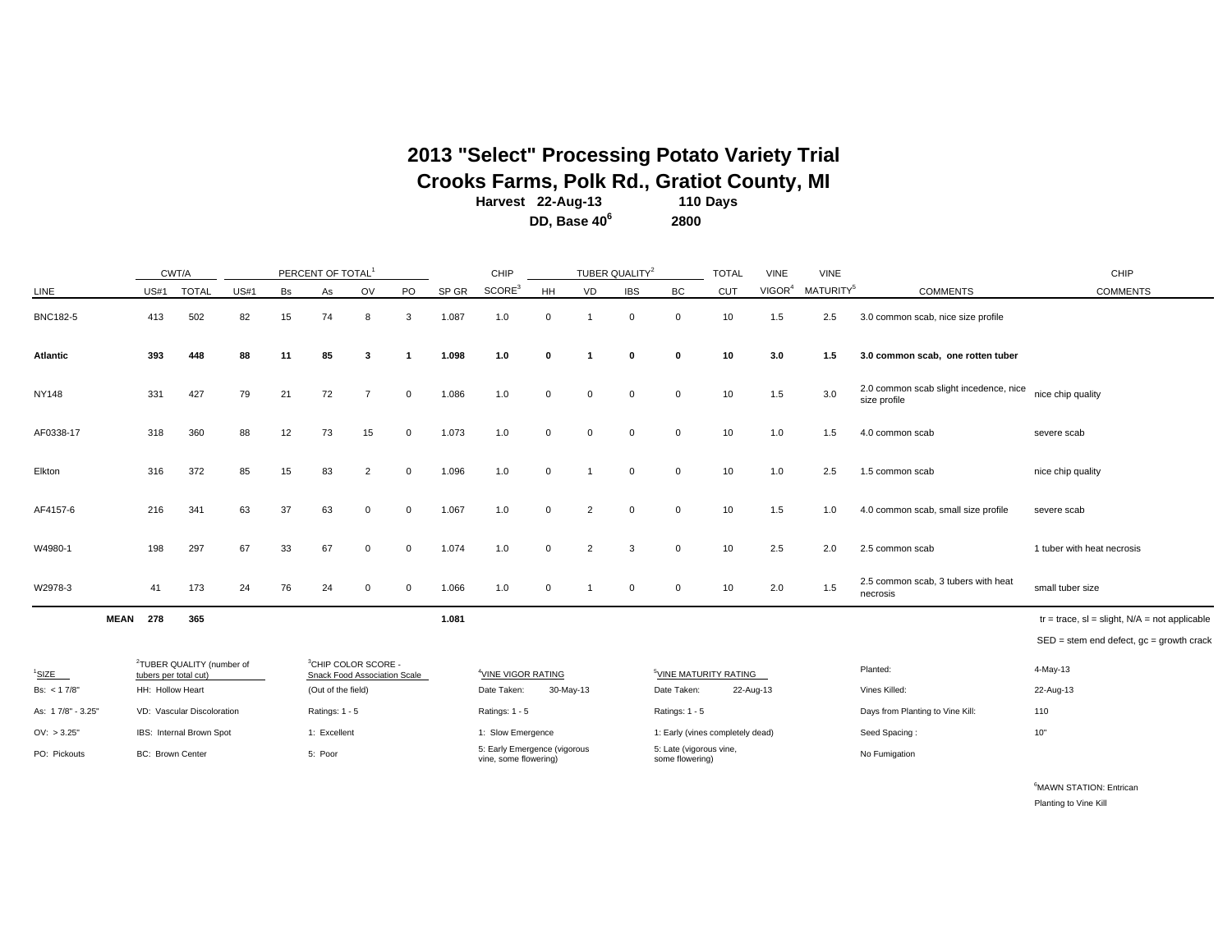**2013 "Select" Processing Potato Variety Trial**

**Crooks Farms, Polk Rd., Gratiot County, MI**<br>Harvest 22-Aug-13 110 Days

**Harvest 110 Days 22-Aug-13 DD, Base 40<sup>6</sup> <sup>2800</sup>**

|                   |             | CWT/A                   |                                       |             |    | PERCENT OF TOTAL <sup>1</sup>                                   |                |              |       | CHIP                                                  |              |                | TUBER QUALITY <sup>2</sup> |                                            | <b>TOTAL</b>                      | <b>VINE</b>        | <b>VINE</b>           |                                                        | CHIP                                               |
|-------------------|-------------|-------------------------|---------------------------------------|-------------|----|-----------------------------------------------------------------|----------------|--------------|-------|-------------------------------------------------------|--------------|----------------|----------------------------|--------------------------------------------|-----------------------------------|--------------------|-----------------------|--------------------------------------------------------|----------------------------------------------------|
| LINE              |             | <b>US#1</b>             | <b>TOTAL</b>                          | <b>US#1</b> | Bs | As                                                              | OV             | PO           | SP GR | SCORE <sup>3</sup>                                    | HH           | VD             | <b>IBS</b>                 | BC                                         | <b>CUT</b>                        | VIGOR <sup>4</sup> | MATURITY <sup>5</sup> | <b>COMMENTS</b>                                        | <b>COMMENTS</b>                                    |
| <b>BNC182-5</b>   |             | 413                     | 502                                   | 82          | 15 | 74                                                              | 8              | 3            | 1.087 | 1.0                                                   | $\mathbf 0$  | $\overline{1}$ | $\mathbf 0$                | $\mathbf 0$                                | 10                                | 1.5                | 2.5                   | 3.0 common scab, nice size profile                     |                                                    |
| <b>Atlantic</b>   |             | 393                     | 448                                   | 88          | 11 | 85                                                              | 3              |              | 1.098 | 1.0                                                   | $\mathbf{0}$ | -1             | $\mathbf{0}$               | $\Omega$                                   | 10                                | 3.0                | 1.5                   | 3.0 common scab, one rotten tuber                      |                                                    |
| <b>NY148</b>      |             | 331                     | 427                                   | 79          | 21 | 72                                                              | $\overline{7}$ | $\mathbf{0}$ | 1.086 | 1.0                                                   | $\Omega$     | $\mathbf 0$    | $\Omega$                   | $\Omega$                                   | 10                                | 1.5                | 3.0                   | 2.0 common scab slight incedence, nice<br>size profile | nice chip quality                                  |
| AF0338-17         |             | 318                     | 360                                   | 88          | 12 | 73                                                              | 15             | $\mathbf{0}$ | 1.073 | 1.0                                                   | $\mathbf 0$  | $\mathbf 0$    | $\Omega$                   | $\mathbf 0$                                | 10                                | 1.0                | 1.5                   | 4.0 common scab                                        | severe scab                                        |
| Elkton            |             | 316                     | 372                                   | 85          | 15 | 83                                                              | $\overline{2}$ | $\Omega$     | 1.096 | 1.0                                                   | $\mathbf 0$  | -1             | $\Omega$                   | $\Omega$                                   | 10                                | 1.0                | 2.5                   | 1.5 common scab                                        | nice chip quality                                  |
| AF4157-6          |             | 216                     | 341                                   | 63          | 37 | 63                                                              | 0              | $\mathbf{0}$ | 1.067 | 1.0                                                   | $\mathbf 0$  | $\overline{2}$ | $\mathbf 0$                | $\mathbf{0}$                               | 10                                | 1.5                | 1.0                   | 4.0 common scab, small size profile                    | severe scab                                        |
| W4980-1           |             | 198                     | 297                                   | 67          | 33 | 67                                                              | 0              | $\mathbf{0}$ | 1.074 | 1.0                                                   | $\Omega$     | $\overline{2}$ | 3                          | $\Omega$                                   | 10                                | 2.5                | 2.0                   | 2.5 common scab                                        | 1 tuber with heat necrosis                         |
| W2978-3           |             | 41                      | 173                                   | 24          | 76 | 24                                                              | $\Omega$       | $\Omega$     | 1.066 | 1.0                                                   | $\Omega$     | -1             | $\Omega$                   | $\Omega$                                   | 10                                | 2.0                | 1.5                   | 2.5 common scab, 3 tubers with heat<br>necrosis        | small tuber size                                   |
|                   | <b>MEAN</b> | 278                     | 365                                   |             |    |                                                                 |                |              | 1.081 |                                                       |              |                |                            |                                            |                                   |                    |                       |                                                        | $tr = trace$ , sl = slight, $N/A$ = not applicable |
|                   |             |                         |                                       |             |    |                                                                 |                |              |       |                                                       |              |                |                            |                                            |                                   |                    |                       |                                                        | $SED = stem$ end defect, $gc = growth$ crack       |
| $1$ SIZE          |             | tubers per total cut)   | <sup>2</sup> TUBER QUALITY (number of |             |    | <sup>3</sup> CHIP COLOR SCORE -<br>Snack Food Association Scale |                |              |       | <sup>4</sup> VINE VIGOR RATING                        |              |                |                            |                                            | <sup>5</sup> VINE MATURITY RATING |                    |                       | Planted:                                               | 4-May-13                                           |
| Bs: $< 17/8$ "    |             | HH: Hollow Heart        |                                       |             |    | (Out of the field)                                              |                |              |       | Date Taken:                                           |              | 30-May-13      |                            | Date Taken:                                |                                   | 22-Aug-13          |                       | Vines Killed:                                          | 22-Aug-13                                          |
| As: 17/8" - 3.25" |             |                         | VD: Vascular Discoloration            |             |    | Ratings: 1 - 5                                                  |                |              |       | Ratings: 1 - 5                                        |              |                |                            | Ratings: 1 - 5                             |                                   |                    |                       | Days from Planting to Vine Kill:                       | 110                                                |
| OV: > 3.25"       |             |                         | IBS: Internal Brown Spot              |             |    | 1: Excellent                                                    |                |              |       | 1: Slow Emergence                                     |              |                |                            |                                            | 1: Early (vines completely dead)  |                    |                       | Seed Spacing:                                          | $10"$                                              |
| PO: Pickouts      |             | <b>BC: Brown Center</b> |                                       |             |    | 5: Poor                                                         |                |              |       | 5: Early Emergence (vigorous<br>vine, some flowering) |              |                |                            | 5: Late (vigorous vine,<br>some flowering) |                                   |                    |                       | No Fumigation                                          |                                                    |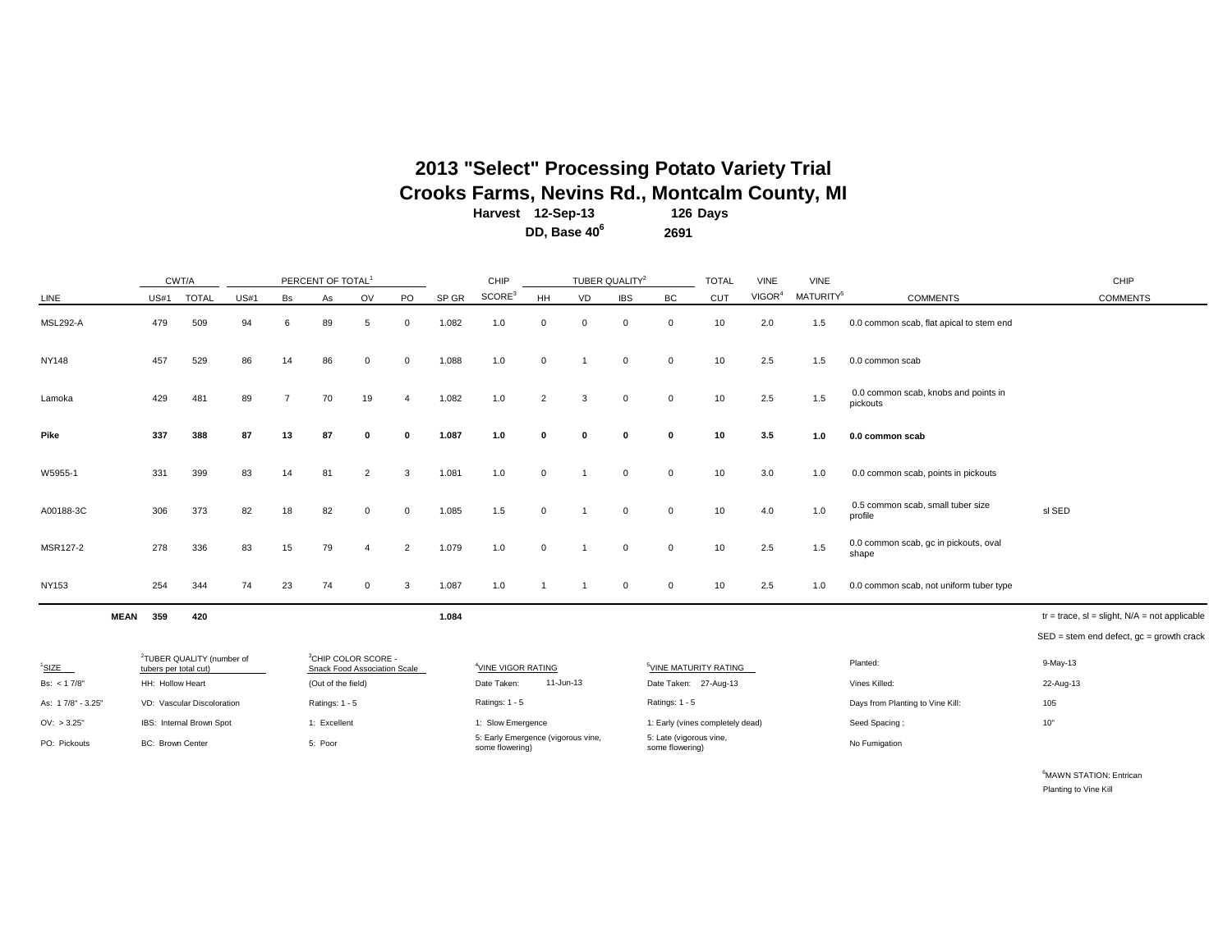## **Harvest 126 Days 12-Sep-13 2013 "Select" Processing Potato Variety Trial Crooks Farms, Nevins Rd., Montcalm County, MI**<br>Harvest 12-Sep-13 126 Days

**DD, Base 40<sup>6</sup> 2691**

|                   |                         | CWT/A                                 |      |    | PERCENT OF TOTAL <sup>1</sup>                                   |                |                |       | CHIP                                                  |             |             | TUBER QUALITY <sup>2</sup> |                                            | <b>TOTAL</b> | <b>VINE</b>        | <b>VINE</b>           |                                                  | CHIP                                               |
|-------------------|-------------------------|---------------------------------------|------|----|-----------------------------------------------------------------|----------------|----------------|-------|-------------------------------------------------------|-------------|-------------|----------------------------|--------------------------------------------|--------------|--------------------|-----------------------|--------------------------------------------------|----------------------------------------------------|
| LINE              | <b>US#1</b>             | <b>TOTAL</b>                          | US#1 | Bs | As                                                              | OV             | PO             | SP GR | SCORE <sup>3</sup>                                    | <b>HH</b>   | VD          | <b>IBS</b>                 | <b>BC</b>                                  | CUT          | VIGOR <sup>4</sup> | MATURITY <sup>5</sup> | <b>COMMENTS</b>                                  | <b>COMMENTS</b>                                    |
| <b>MSL292-A</b>   | 479                     | 509                                   | 94   | 6  | 89                                                              | 5              | $\Omega$       | 1.082 | 1.0                                                   | $\mathbf 0$ | $\Omega$    | $\mathbf 0$                | $\mathbf 0$                                | 10           | 2.0                | 1.5                   | 0.0 common scab, flat apical to stem end         |                                                    |
| <b>NY148</b>      | 457                     | 529                                   | 86   | 14 | 86                                                              | $\Omega$       | $\Omega$       | 1.088 | 1.0                                                   | $\mathbf 0$ |             | $\mathbf 0$                | $\mathbf 0$                                | 10           | 2.5                | 1.5                   | 0.0 common scab                                  |                                                    |
| Lamoka            | 429                     | 481                                   | 89   | 7  | 70                                                              | 19             | $\overline{4}$ | 1.082 | 1.0                                                   | 2           | 3           | 0                          | $\mathbf 0$                                | 10           | 2.5                | 1.5                   | 0.0 common scab, knobs and points in<br>pickouts |                                                    |
| Pike              | 337                     | 388                                   | 87   | 13 | 87                                                              | $\mathbf{0}$   | $\mathbf{0}$   | 1.087 | 1.0                                                   | 0           | $\mathbf 0$ | $\mathbf 0$                | $\mathbf 0$                                | 10           | 3.5                | 1.0                   | 0.0 common scab                                  |                                                    |
| W5955-1           | 331                     | 399                                   | 83   | 14 | 81                                                              | 2              | 3              | 1.081 | 1.0                                                   | 0           |             | 0                          | $\mathbf 0$                                | 10           | 3.0                | 1.0                   | 0.0 common scab, points in pickouts              |                                                    |
| A00188-3C         | 306                     | 373                                   | 82   | 18 | 82                                                              | $\mathbf{0}$   | $\Omega$       | 1.085 | 1.5                                                   | $\mathbf 0$ |             | 0                          | $\mathbf 0$                                | 10           | 4.0                | 1.0                   | 0.5 common scab, small tuber size<br>profile     | sl SED                                             |
| MSR127-2          | 278                     | 336                                   | 83   | 15 | 79                                                              | $\overline{4}$ | 2              | 1.079 | 1.0                                                   | $\mathbf 0$ |             | $\mathbf 0$                | $\mathbf 0$                                | 10           | 2.5                | 1.5                   | 0.0 common scab, gc in pickouts, oval<br>shape   |                                                    |
| <b>NY153</b>      | 254                     | 344                                   | 74   | 23 | 74                                                              | $\Omega$       | 3              | 1.087 | 1.0                                                   |             |             | 0                          | 0                                          | 10           | 2.5                | 1.0                   | 0.0 common scab, not uniform tuber type          |                                                    |
| <b>MEAN</b>       | 359                     | 420                                   |      |    |                                                                 |                |                | 1.084 |                                                       |             |             |                            |                                            |              |                    |                       |                                                  | $tr = trace$ , sl = slight, $N/A$ = not applicable |
|                   |                         |                                       |      |    |                                                                 |                |                |       |                                                       |             |             |                            |                                            |              |                    |                       |                                                  | $SED = stem$ end defect, $gc = growth$ crack       |
| <sup>1</sup> SIZE | tubers per total cut)   | <sup>2</sup> TUBER QUALITY (number of |      |    | <sup>3</sup> CHIP COLOR SCORE -<br>Snack Food Association Scale |                |                |       | <sup>4</sup> VINE VIGOR RATING                        |             |             |                            | <sup>5</sup> VINE MATURITY RATING          |              |                    |                       | Planted:                                         | 9-May-13                                           |
| Bs: < 1 7/8"      | HH: Hollow Heart        |                                       |      |    | (Out of the field)                                              |                |                |       | Date Taken:                                           |             | 11-Jun-13   |                            | Date Taken: 27-Aug-13                      |              |                    |                       | Vines Killed:                                    | 22-Aug-13                                          |
| As: 17/8" - 3.25" |                         | VD: Vascular Discoloration            |      |    | Ratings: 1 - 5                                                  |                |                |       | Ratings: 1 - 5                                        |             |             |                            | Ratings: 1 - 5                             |              |                    |                       | Days from Planting to Vine Kill:                 | 105                                                |
| OV: > 3.25"       |                         | IBS: Internal Brown Spot              |      |    | 1: Excellent                                                    |                |                |       | 1: Slow Emergence                                     |             |             |                            | 1: Early (vines completely dead)           |              |                    |                       | Seed Spacing:                                    | $10"$                                              |
| PO: Pickouts      | <b>BC: Brown Center</b> |                                       |      |    | 5: Poor                                                         |                |                |       | 5: Early Emergence (vigorous vine,<br>some flowering) |             |             |                            | 5: Late (vigorous vine,<br>some flowering) |              |                    |                       | No Fumigation                                    |                                                    |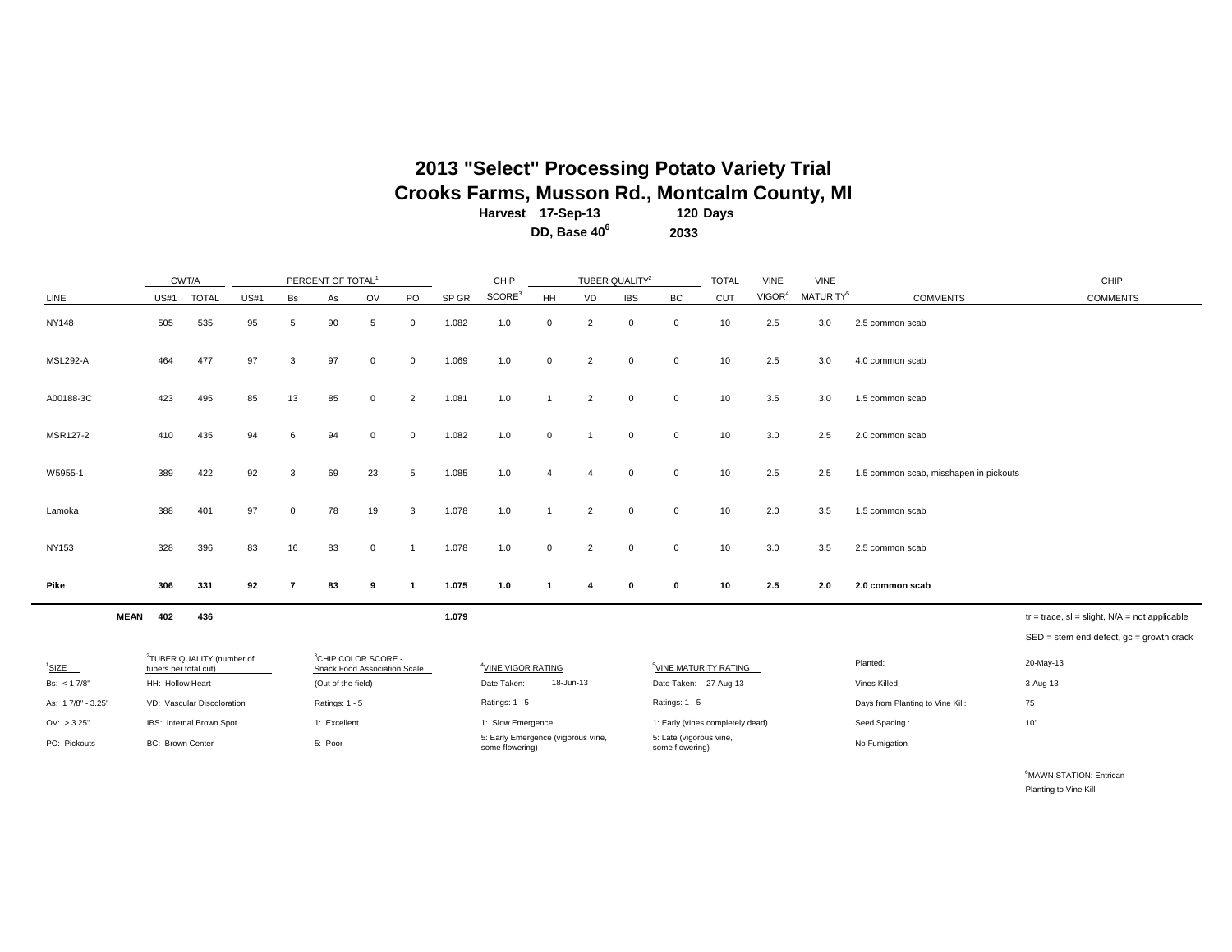### **Harvest 120 Days 17-Sep-13 2013 "Select" Processing Potato Variety Trial Crooks Farms, Musson Rd., Montcalm County, MI**

**DD, Base 40<sup>6</sup> 2033**

|                   |                         | CWT/A                                 |             |              | PERCENT OF TOTAL <sup>1</sup>                                   |             |                |       | CHIP                                                  |                |                | TUBER QUALITY <sup>2</sup> |                                            | <b>TOTAL</b> | <b>VINE</b>        | <b>VINE</b>           |                                        | CHIP                                                  |
|-------------------|-------------------------|---------------------------------------|-------------|--------------|-----------------------------------------------------------------|-------------|----------------|-------|-------------------------------------------------------|----------------|----------------|----------------------------|--------------------------------------------|--------------|--------------------|-----------------------|----------------------------------------|-------------------------------------------------------|
| LINE              | <b>US#1</b>             | <b>TOTAL</b>                          | <b>US#1</b> | Bs           | As                                                              | OV          | PO             | SP GR | SCORE <sup>3</sup>                                    | HH             | VD             | <b>IBS</b>                 | BC                                         | CUT          | VIGOR <sup>4</sup> | MATURITY <sup>5</sup> | <b>COMMENTS</b>                        | <b>COMMENTS</b>                                       |
| <b>NY148</b>      | 505                     | 535                                   | 95          | 5            | 90                                                              | 5           | $\mathbf 0$    | 1.082 | 1.0                                                   | $\mathbf 0$    | $\overline{2}$ | $\mathbf 0$                | $\mathbf 0$                                | 10           | 2.5                | 3.0                   | 2.5 common scab                        |                                                       |
| <b>MSL292-A</b>   | 464                     | 477                                   | 97          | 3            | 97                                                              | $\mathbf 0$ | $\mathbf{0}$   | 1.069 | 1.0                                                   | $\mathbf 0$    | $\overline{2}$ | $\mathbf 0$                | $\mathbf 0$                                | 10           | 2.5                | 3.0                   | 4.0 common scab                        |                                                       |
| A00188-3C         | 423                     | 495                                   | 85          | 13           | 85                                                              | 0           | $\overline{2}$ | 1.081 | 1.0                                                   |                | $\overline{2}$ | $\mathbf 0$                | $\mathbf 0$                                | 10           | 3.5                | 3.0                   | 1.5 common scab                        |                                                       |
| MSR127-2          | 410                     | 435                                   | 94          | 6            | 94                                                              | $\mathbf 0$ | $\mathbf{0}$   | 1.082 | 1.0                                                   | $\mathbf 0$    | -1             | $\mathbf 0$                | $\mathbf{0}$                               | 10           | 3.0                | 2.5                   | 2.0 common scab                        |                                                       |
| W5955-1           | 389                     | 422                                   | 92          | 3            | 69                                                              | 23          | 5              | 1.085 | 1.0                                                   | $\overline{4}$ | $\overline{4}$ | $\mathbf{0}$               | $\mathbf{0}$                               | 10           | 2.5                | 2.5                   | 1.5 common scab, misshapen in pickouts |                                                       |
| Lamoka            | 388                     | 401                                   | 97          | $\mathbf{0}$ | 78                                                              | 19          | 3              | 1.078 | 1.0                                                   |                | 2              | $\mathbf 0$                | $\mathbf{0}$                               | 10           | 2.0                | 3.5                   | 1.5 common scab                        |                                                       |
| <b>NY153</b>      | 328                     | 396                                   | 83          | 16           | 83                                                              | $\mathbf 0$ | $\overline{1}$ | 1.078 | 1.0                                                   | $\mathbf 0$    | 2              | $\mathbf 0$                | $\mathbf{0}$                               | 10           | 3.0                | 3.5                   | 2.5 common scab                        |                                                       |
| Pike              | 306                     | 331                                   | 92          | 7            | 83                                                              | 9           | $\mathbf{1}$   | 1.075 | 1.0                                                   | 1              |                | $\mathbf{0}$               | $\mathbf{0}$                               | 10           | 2.5                | 2.0                   | 2.0 common scab                        |                                                       |
| <b>MEAN</b>       | 402                     | 436                                   |             |              |                                                                 |             |                | 1.079 |                                                       |                |                |                            |                                            |              |                    |                       |                                        | $tr = trace$ , $sl = slight$ , $N/A = not applicable$ |
|                   |                         |                                       |             |              |                                                                 |             |                |       |                                                       |                |                |                            |                                            |              |                    |                       |                                        | $SED = stem$ end defect, $gc = growth$ crack          |
| <sup>1</sup> SIZE | tubers per total cut)   | <sup>2</sup> TUBER QUALITY (number of |             |              | <sup>3</sup> CHIP COLOR SCORE -<br>Snack Food Association Scale |             |                |       | <sup>4</sup> VINE VIGOR RATING                        |                |                |                            | <sup>5</sup> VINE MATURITY RATING          |              |                    |                       | Planted:                               | 20-May-13                                             |
| Bs: < 17/8        | HH: Hollow Heart        |                                       |             |              | (Out of the field)                                              |             |                |       | Date Taken:                                           |                | 18-Jun-13      |                            | Date Taken: 27-Aug-13                      |              |                    |                       | Vines Killed:                          | 3-Aug-13                                              |
| As: 17/8" - 3.25" |                         | VD: Vascular Discoloration            |             |              | Ratings: 1 - 5                                                  |             |                |       | Ratings: 1 - 5                                        |                |                |                            | Ratings: 1 - 5                             |              |                    |                       | Days from Planting to Vine Kill:       | 75                                                    |
| OV: > 3.25"       |                         | IBS: Internal Brown Spot              |             |              | 1: Excellent                                                    |             |                |       | 1: Slow Emergence                                     |                |                |                            | 1: Early (vines completely dead)           |              |                    |                       | Seed Spacing:                          | $10"$                                                 |
| PO: Pickouts      | <b>BC: Brown Center</b> |                                       |             |              | 5: Poor                                                         |             |                |       | 5: Early Emergence (vigorous vine,<br>some flowering) |                |                |                            | 5: Late (vigorous vine,<br>some flowering) |              |                    |                       | No Fumigation                          |                                                       |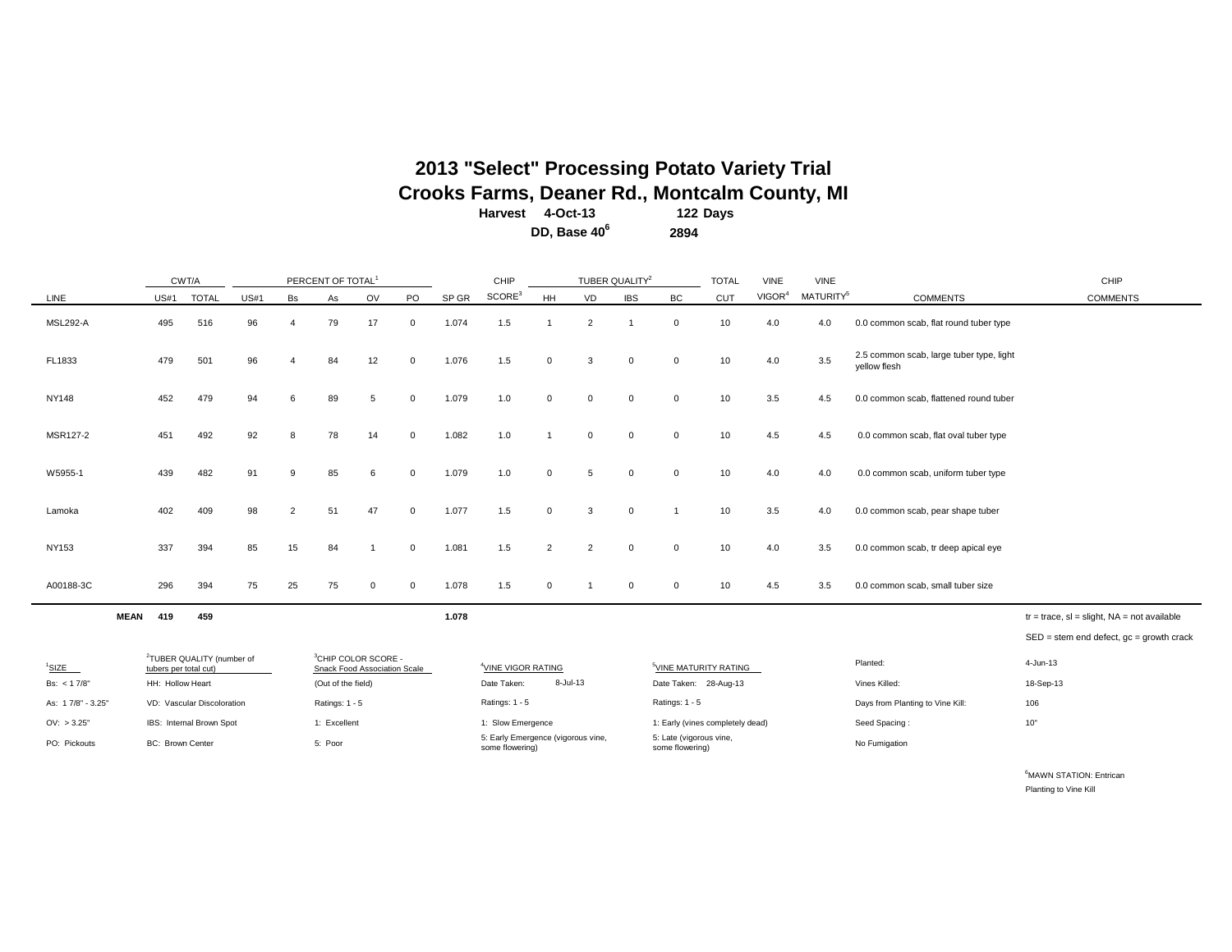## **Harvest 122 Days 4-Oct-13 2013 "Select" Processing Potato Variety Trial Crooks Farms, Deaner Rd., Montcalm County, MI**

**DD, Base 40<sup>6</sup> 2894**

|                                   |                                           | CWT/A                                 |             |                       | PERCENT OF TOTAL <sup>1</sup>                      |             |              |       | CHIP                                                  |                | TUBER QUALITY <sup>2</sup> |             |                                                            | <b>TOTAL</b> | <b>VINE</b>        | <b>VINE</b>           |                                                          | CHIP                                           |
|-----------------------------------|-------------------------------------------|---------------------------------------|-------------|-----------------------|----------------------------------------------------|-------------|--------------|-------|-------------------------------------------------------|----------------|----------------------------|-------------|------------------------------------------------------------|--------------|--------------------|-----------------------|----------------------------------------------------------|------------------------------------------------|
| LINE                              | <b>US#1</b>                               | <b>TOTAL</b>                          | <b>US#1</b> | Bs                    | As                                                 | OV          | PO           | SP GR | SCORE <sup>3</sup>                                    | HH             | VD                         | <b>IBS</b>  | <b>BC</b>                                                  | <b>CUT</b>   | VIGOR <sup>4</sup> | MATURITY <sup>5</sup> | <b>COMMENTS</b>                                          | <b>COMMENTS</b>                                |
| <b>MSL292-A</b>                   | 495                                       | 516                                   | 96          | $\boldsymbol{\Delta}$ | 79                                                 | 17          | $\mathbf{0}$ | 1.074 | 1.5                                                   |                | $\overline{2}$             |             | $\mathbf 0$                                                | 10           | 4.0                | 4.0                   | 0.0 common scab, flat round tuber type                   |                                                |
| FL1833                            | 479                                       | 501                                   | 96          | $\boldsymbol{\Delta}$ | 84                                                 | 12          | $\mathbf 0$  | 1.076 | 1.5                                                   | $\mathbf 0$    | 3                          | $\mathbf 0$ | $\mathbf 0$                                                | 10           | 4.0                | 3.5                   | 2.5 common scab, large tuber type, light<br>yellow flesh |                                                |
| <b>NY148</b>                      | 452                                       | 479                                   | 94          | 6                     | 89                                                 | 5           | $\mathbf 0$  | 1.079 | 1.0                                                   | $\Omega$       | $\mathbf 0$                | $\mathbf 0$ | $\mathbf 0$                                                | 10           | 3.5                | 4.5                   | 0.0 common scab, flattened round tuber                   |                                                |
| MSR127-2                          | 451                                       | 492                                   | 92          | 8                     | 78                                                 | 14          | $\mathbf 0$  | 1.082 | 1.0                                                   |                | $\Omega$                   | $\mathbf 0$ | $\mathbf 0$                                                | 10           | 4.5                | 4.5                   | 0.0 common scab, flat oval tuber type                    |                                                |
| W5955-1                           | 439                                       | 482                                   | 91          | 9                     | 85                                                 | 6           | 0            | 1.079 | 1.0                                                   | $\mathbf 0$    | 5                          | $\mathbf 0$ | $\mathbf 0$                                                | 10           | 4.0                | 4.0                   | 0.0 common scab, uniform tuber type                      |                                                |
| Lamoka                            | 402                                       | 409                                   | 98          | $\overline{2}$        | 51                                                 | 47          | $\mathbf 0$  | 1.077 | 1.5                                                   | $\mathbf 0$    | 3                          | $\mathbf 0$ | -1                                                         | 10           | 3.5                | 4.0                   | 0.0 common scab, pear shape tuber                        |                                                |
| <b>NY153</b>                      | 337                                       | 394                                   | 85          | 15                    | 84                                                 | -1          | $\mathbf 0$  | 1.081 | 1.5                                                   | $\overline{2}$ | $\overline{2}$             | $\mathbf 0$ | $\mathbf 0$                                                | 10           | 4.0                | 3.5                   | 0.0 common scab, tr deep apical eye                      |                                                |
| A00188-3C                         | 296                                       | 394                                   | 75          | 25                    | 75                                                 | $\mathbf 0$ | $\mathbf 0$  | 1.078 | 1.5                                                   | $\mathbf 0$    |                            | $\mathbf 0$ | $\mathbf 0$                                                | 10           | 4.5                | 3.5                   | 0.0 common scab, small tuber size                        |                                                |
| <b>MEAN</b>                       | 419                                       | 459                                   |             |                       |                                                    |             |              | 1.078 |                                                       |                |                            |             |                                                            |              |                    |                       |                                                          | $tr = trace$ , sl = slight, NA = not available |
|                                   |                                           |                                       |             |                       |                                                    |             |              |       |                                                       |                |                            |             |                                                            |              |                    |                       |                                                          | $SED = stem$ end defect, $gc = growth$ crack   |
|                                   |                                           | <sup>2</sup> TUBER QUALITY (number of |             |                       | <sup>3</sup> CHIP COLOR SCORE -                    |             |              |       |                                                       |                |                            |             |                                                            |              |                    |                       | Planted:                                                 | 4-Jun-13                                       |
| <sup>1</sup> SIZE<br>Bs: < 1 7/8" | tubers per total cut)<br>HH: Hollow Heart |                                       |             |                       | Snack Food Association Scale<br>(Out of the field) |             |              |       | <sup>4</sup> VINE VIGOR RATING<br>Date Taken:         | 8-Jul-13       |                            |             | <sup>5</sup> VINE MATURITY RATING<br>Date Taken: 28-Aug-13 |              |                    |                       | Vines Killed:                                            | 18-Sep-13                                      |
|                                   |                                           |                                       |             |                       |                                                    |             |              |       |                                                       |                |                            |             |                                                            |              |                    |                       |                                                          |                                                |
| As: 17/8" - 3.25"                 |                                           | VD: Vascular Discoloration            |             |                       | Ratings: 1 - 5                                     |             |              |       | Ratings: 1 - 5                                        |                |                            |             | Ratings: 1 - 5                                             |              |                    |                       | Days from Planting to Vine Kill:                         | 106                                            |
| OV: > 3.25"                       |                                           | IBS: Internal Brown Spot              |             |                       | 1: Excellent                                       |             |              |       | 1: Slow Emergence                                     |                |                            |             | 1: Early (vines completely dead)                           |              |                    |                       | Seed Spacing:                                            | 10"                                            |
| PO: Pickouts                      | <b>BC: Brown Center</b>                   |                                       |             |                       | 5: Poor                                            |             |              |       | 5: Early Emergence (vigorous vine,<br>some flowering) |                |                            |             | 5: Late (vigorous vine,<br>some flowering)                 |              |                    |                       | No Fumigation                                            |                                                |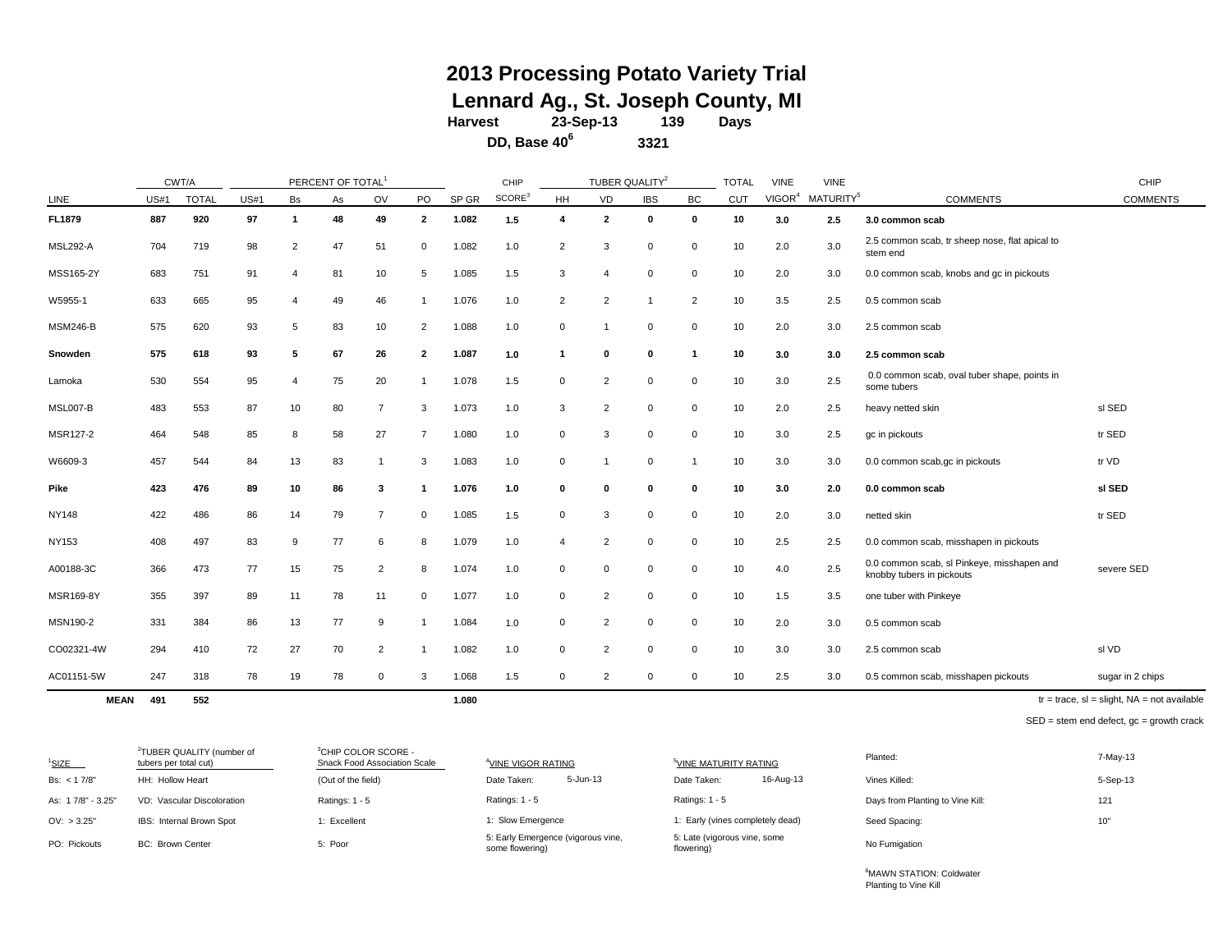## **2013 Processing Potato Variety Trial Lennard Ag., St. Joseph County, MI**

**Harvest Days 23-Sep-13 139**

**DD, Base 40<sup>6</sup>**

**3321**

|                 | CWT/A       |              |             |                | PERCENT OF TOTAL |                |                |       | CHIP               |                | TUBER QUALITY <sup>2</sup> |             |              | <b>TOTAL</b> | <b>VINE</b>        | <b>VINE</b>           |                                                                         | CHIP             |
|-----------------|-------------|--------------|-------------|----------------|------------------|----------------|----------------|-------|--------------------|----------------|----------------------------|-------------|--------------|--------------|--------------------|-----------------------|-------------------------------------------------------------------------|------------------|
| LINE            | <b>US#1</b> | <b>TOTAL</b> | <b>US#1</b> | Bs             | As               | OV             | PO             | SP GR | SCORE <sup>3</sup> | <b>HH</b>      | VD                         | <b>IBS</b>  | BC           | CUT          | VIGOR <sup>4</sup> | MATURITY <sup>5</sup> | <b>COMMENTS</b>                                                         | <b>COMMENTS</b>  |
| FL1879          | 887         | 920          | 97          | 1              | 48               | 49             | $\overline{2}$ | 1.082 | 1.5                | 4              | $\overline{2}$             | 0           | $\mathbf 0$  | 10           | 3.0                | 2.5                   | 3.0 common scab                                                         |                  |
| <b>MSL292-A</b> | 704         | 719          | 98          | $\overline{2}$ | 47               | 51             | $\mathbf 0$    | 1.082 | 1.0                | $\overline{2}$ | 3                          | $\mathbf 0$ | 0            | 10           | 2.0                | 3.0                   | 2.5 common scab, tr sheep nose, flat apical to<br>stem end              |                  |
| MSS165-2Y       | 683         | 751          | 91          | $\overline{a}$ | 81               | 10             | 5              | 1.085 | 1.5                | 3              | $\overline{4}$             | $\mathbf 0$ | $\mathbf 0$  | 10           | 2.0                | 3.0                   | 0.0 common scab, knobs and gc in pickouts                               |                  |
| W5955-1         | 633         | 665          | 95          | 4              | 49               | 46             |                | 1.076 | 1.0                | $\overline{2}$ | $\overline{2}$             |             | 2            | 10           | 3.5                | 2.5                   | 0.5 common scab                                                         |                  |
| <b>MSM246-B</b> | 575         | 620          | 93          | 5              | 83               | 10             | 2              | 1.088 | 1.0                | $\mathbf 0$    |                            | $\mathbf 0$ | $\mathbf 0$  | 10           | 2.0                | 3.0                   | 2.5 common scab                                                         |                  |
| Snowden         | 575         | 618          | 93          | 5              | 67               | 26             | $\overline{2}$ | 1.087 | 1.0                | -1             | $\mathbf 0$                | 0           | 1            | 10           | 3.0                | 3.0                   | 2.5 common scab                                                         |                  |
| Lamoka          | 530         | 554          | 95          | 4              | 75               | 20             |                | 1.078 | 1.5                | 0              | $\overline{2}$             | 0           | 0            | 10           | 3.0                | 2.5                   | 0.0 common scab, oval tuber shape, points in<br>some tubers             |                  |
| MSL007-B        | 483         | 553          | 87          | 10             | 80               | $\overline{7}$ | 3              | 1.073 | 1.0                | 3              | $\overline{2}$             | 0           | 0            | 10           | 2.0                | 2.5                   | heavy netted skin                                                       | sl SED           |
| MSR127-2        | 464         | 548          | 85          | 8              | 58               | 27             | $\overline{7}$ | 1.080 | 1.0                | $\mathbf 0$    | 3                          | 0           | $\mathbf{0}$ | 10           | 3.0                | 2.5                   | gc in pickouts                                                          | tr SED           |
| W6609-3         | 457         | 544          | 84          | 13             | 83               | -1             | 3              | 1.083 | 1.0                | $\mathbf 0$    |                            | 0           |              | 10           | 3.0                | 3.0                   | 0.0 common scab,gc in pickouts                                          | tr VD            |
| Pike            | 423         | 476          | 89          | 10             | 86               | 3              |                | 1.076 | 1.0                | $\mathbf 0$    | $\mathbf{0}$               | 0           | 0            | 10           | 3.0                | 2.0                   | 0.0 common scab                                                         | sl SED           |
| <b>NY148</b>    | 422         | 486          | 86          | 14             | 79               | $\overline{7}$ | $\mathbf 0$    | 1.085 | 1.5                | $\mathbf 0$    | 3                          | 0           | $\Omega$     | 10           | 2.0                | 3.0                   | netted skin                                                             | tr SED           |
| <b>NY153</b>    | 408         | 497          | 83          | 9              | 77               | 6              | 8              | 1.079 | 1.0                | 4              | $\overline{2}$             | $\mathbf 0$ | $\mathbf 0$  | 10           | 2.5                | 2.5                   | 0.0 common scab, misshapen in pickouts                                  |                  |
| A00188-3C       | 366         | 473          | 77          | 15             | 75               | $\overline{2}$ | 8              | 1.074 | 1.0                | $\mathbf 0$    | $\mathbf 0$                | $\mathbf 0$ | 0            | 10           | 4.0                | 2.5                   | 0.0 common scab, sl Pinkeye, misshapen and<br>knobby tubers in pickouts | severe SED       |
| MSR169-8Y       | 355         | 397          | 89          | 11             | 78               | 11             | $\mathbf 0$    | 1.077 | 1.0                | $\mathbf 0$    | $\overline{2}$             | $\mathbf 0$ | $\mathbf 0$  | 10           | 1.5                | 3.5                   | one tuber with Pinkeye                                                  |                  |
| MSN190-2        | 331         | 384          | 86          | 13             | 77               | 9              |                | 1.084 | 1.0                | $\mathbf 0$    | $\overline{2}$             | $\mathbf 0$ | $\mathbf{0}$ | 10           | 2.0                | 3.0                   | 0.5 common scab                                                         |                  |
| CO02321-4W      | 294         | 410          | 72          | 27             | 70               | $\overline{2}$ |                | 1.082 | 1.0                | $\mathbf 0$    | $\overline{2}$             | $\mathbf 0$ | $\mathbf 0$  | 10           | 3.0                | 3.0                   | 2.5 common scab                                                         | sl VD            |
| AC01151-5W      | 247         | 318          | 78          | 19             | 78               | $\Omega$       | 3              | 1.068 | 1.5                | $\mathbf 0$    | $\overline{2}$             | $\Omega$    | $\Omega$     | 10           | 2.5                | 3.0                   | 0.5 common scab, misshapen pickouts                                     | sugar in 2 chips |

**MEAN 491 552 1.080**

 $tr = trace$ ,  $sl = slight$ ,  $NA = not available$ 

SED = stem end defect, gc = growth crack

| $1$ SIZE          | <sup>2</sup> TUBER QUALITY (number of<br>tubers per total cut) | <sup>3</sup> CHIP COLOR SCORE -<br>Snack Food Association Scale | <sup>4</sup> VINE VIGOR RATING                        | <sup>5</sup> VINE MATURITY RATING          | Planted:                         | 7-May-13 |
|-------------------|----------------------------------------------------------------|-----------------------------------------------------------------|-------------------------------------------------------|--------------------------------------------|----------------------------------|----------|
| Bs: < 17/8"       | HH: Hollow Heart                                               | (Out of the field)                                              | 5-Jun-13<br>Date Taken:                               | 16-Aug-13<br>Date Taken:                   | Vines Killed:                    | 5-Sep-13 |
| As: 17/8" - 3.25" | VD: Vascular Discoloration                                     | Ratings: $1 - 5$                                                | Ratings: $1 - 5$                                      | Ratings: $1 - 5$                           | Days from Planting to Vine Kill: | 121      |
| OV: > 3.25"       | IBS: Internal Brown Spot                                       | 1: Excellent                                                    | 1: Slow Emergence                                     | I: Early (vines completely dead)           | Seed Spacing:                    | 10"      |
| PO: Pickouts      | <b>BC: Brown Center</b>                                        | 5: Poor                                                         | 5: Early Emergence (vigorous vine,<br>some flowering) | 5: Late (vigorous vine, some<br>flowering) | No Fumigation                    |          |

<sup>6</sup>MAWN STATION: Coldwater Planting to Vine Kill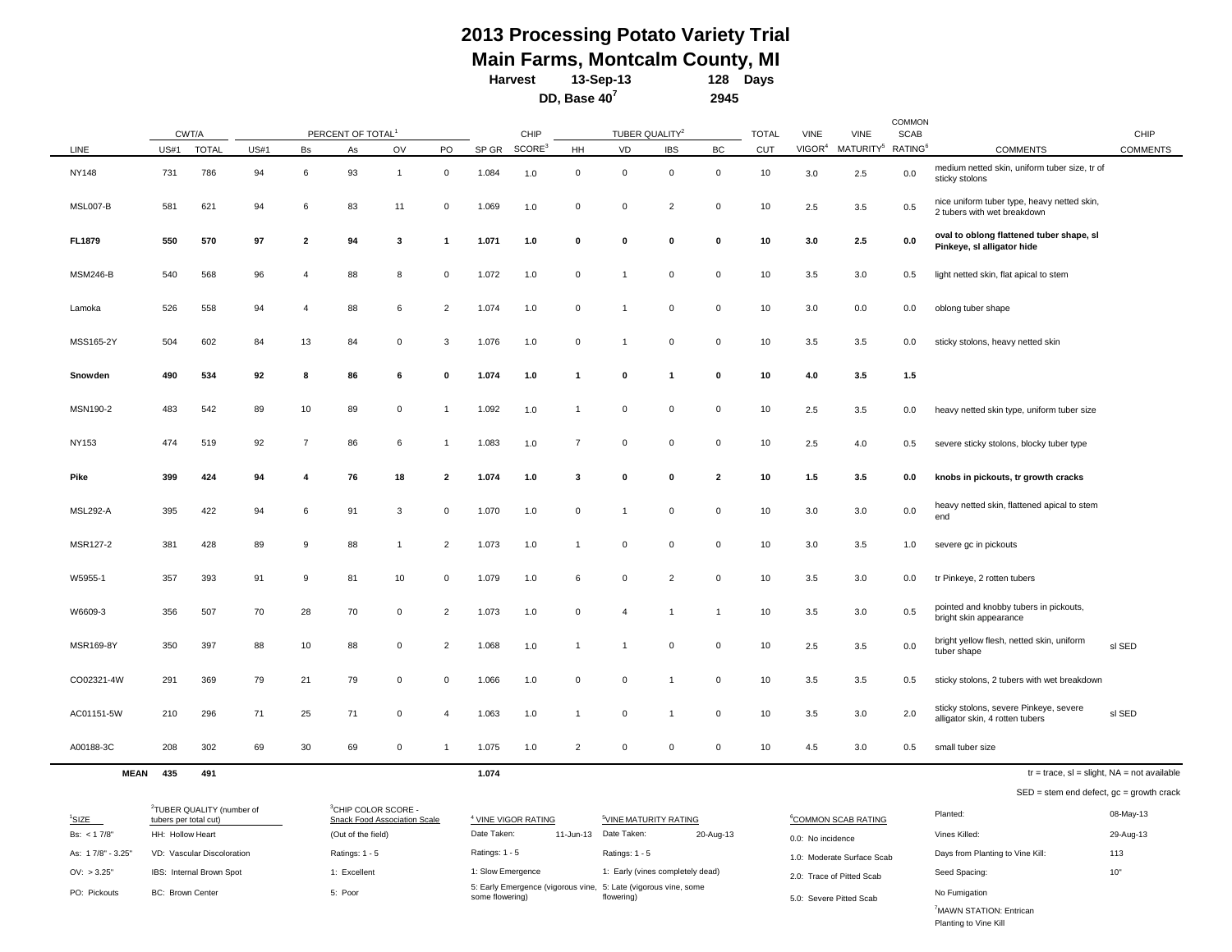#### **128 Days 2013 Processing Potato Variety Trial 13-Sep-13 Main Farms, Montcalm County, MI Harvest**

**2945**

**DD, Base 40<sup>7</sup>**

COMMON CHIP TOTAL VINE VINE SCAB CHIP LINE  $^{10.05\pm 1.07}$  US#1 TOTAL US#1 Bs As OV PO SPGR $^{10.05\pm 1.07}$ HH VD IBS BC CUT VIGOR<sup>4</sup> MATURITY<sup>5</sup> RATING<sup>6</sup> COMMENTS COMMENTS NY148 731 786 94 6 93 1 0 1.084 1.0 0 0 0 0 10 3.0 2.5 0.0 medium netted skin, uniform tuber size, tr of sticky stolons MSL007-B <sup>581</sup> <sup>621</sup> <sup>94</sup> <sup>6</sup> <sup>83</sup> <sup>11</sup> <sup>0</sup> 1.069 1.0 <sup>0</sup> <sup>0</sup> <sup>2</sup> <sup>0</sup> <sup>10</sup> 2.5 3.5 0.5 nice uniform tuber type, heavy netted skin, 2 tubers with wet breakdown FL1879 550 570 97 2 94 3 1 1.071 1.0 0 0 0 0 10 3.0 2.5 0.0 over to blong flattened tuber shape, sl **Pinkeye, sl alligator hide** MSM246-B 540 568 96 4 88 8 0 1.072 1.0 0 1 0 0 10 3.5 3.0 0.5 light netted skin, flat apical to stem Lamoka 526 558 94 4 88 6 2 1.074 1.0 0 1 0 0 10 3.0 0.0 0.0 oblong tuber shape MSS165-2Y 504 602 84 13 84 0 3 1.076 1.0 0 1 0 0 10 3.5 3.5 0.0 sticky stolons, heavy netted skin **Snowden 490 534 92 8 86 6 0 1.074 1.0 1 0 1 0 10 4.0 3.5 1.5** MSN190-2 483 542 89 10 89 0 1 1.092 1.0 1 0 0 0 10 2.5 3.5 0.0 heavy netted skin type, uniform tuber size NY153 474 519 92 7 86 6 1 1.083 1.0 7 0 0 0 10 2.5 4.0 0.5 severe sticky stolons, blocky tuber type Pike 399 424 94 4 76 18 2 1.074 1.0 3 0 0 2 10 1.5 3.5 0.0 knobs in pickouts, tr growth cracks MSL292-A 395 422 94 6 91 3 0 1.070 1.0 0 1 0 0 10 3.0 3.0 0.0 heavy netted skin, flattened apical to stem end MSR127-2 381 428 89 9 88 1 2 1.073 1.0 1 0 0 0 10 3.0 3.5 1.0 severe gc in pickouts W5955-1 357 393 91 9 81 10 0 1.079 1.0 6 0 2 0 10 3.5 3.0 0.0 tr Pinkeye, 2 rotten tubers W6609-3 356 507 70 28 70 0 2 1.073 1.0 0 4 1 1 10 3.5 3.0 0.5 pointed and knobby tubers in pickouts, bright skin appearance MSR169-8Y <sup>350</sup> <sup>397</sup> <sup>88</sup> <sup>10</sup> <sup>88</sup> <sup>0</sup> <sup>2</sup> 1.068 1.0 <sup>1</sup> <sup>1</sup> <sup>0</sup> <sup>0</sup> <sup>10</sup> 2.5 3.5 0.0 bright yellow flesh, netted skin, uniform bright yellow flesh, netted skin, uniform sl SED<br>tuber shape CO02321-4W 291 369 79 21 79 0 0 1.066 1.0 0 0 1 0 10 3.5 3.5 0.5 sticky stolons, 2 tubers with wet breakdown AC01151-5W 210 296 71 25 71 0 4 1.063 1.0 1 0 1 0 10 3.5 3.0 2.0 sticky stolons, severe Pinkeye, severe sticky stolons, severe Pinkeye, severe<br>alligator skin, 4 rotten tubers sl SED A00188-3C 208 302 69 30 69 0 1 1.075 1.0 2 0 0 0 10 4.5 3.0 0.5 small tuber size CWT/A PERCENT OF TOTAL<sup>1</sup> TUBER QUALITY<sup>2</sup>

**MEAN 435 491 1.074**

| $tr = trace$ , sl = slight, NA = not available |
|------------------------------------------------|
|------------------------------------------------|

SED = stem end defect, gc = growth crack

| $1$ SIZE          | <sup>2</sup> TUBER QUALITY (number of<br>tubers per total cut) | $^3$ CHIP COLOR SCORE -<br>Snack Food Association Scale | <sup>4</sup> VINE VIGOR RATING                                                     | <sup>5</sup> VINE MATURITY RATING  | <sup>6</sup> COMMON SCAB RATING | Planted:                         | 08-May-13 |
|-------------------|----------------------------------------------------------------|---------------------------------------------------------|------------------------------------------------------------------------------------|------------------------------------|---------------------------------|----------------------------------|-----------|
| Bs: $< 17/8"$     | HH: Hollow Heart                                               | (Out of the field)                                      | Date Taken:                                                                        | 11-Jun-13 Date Taken:<br>20-Aug-13 | 0.0: No incidence               | Vines Killed:                    | 29-Aug-13 |
| As: 17/8" - 3.25" | VD: Vascular Discoloration                                     | Ratings: 1 - 5                                          | Ratings: 1 - 5                                                                     | Ratings: 1 - 5                     | 1.0: Moderate Surface Scab      | Days from Planting to Vine Kill: | 113       |
| OV: > 3.25"       | IBS: Internal Brown Spot                                       | 1: Excellent                                            | 1: Slow Emergence                                                                  | 1: Early (vines completely dead)   | 2.0: Trace of Pitted Scab       | Seed Spacing:                    | 10"       |
| PO: Pickouts      | <b>BC: Brown Center</b>                                        | 5: Poor                                                 | 5: Early Emergence (vigorous vine, 5: Late (vigorous vine, some<br>some flowering) | flowering)                         | 5.0: Severe Pitted Scab         | No Fumigation                    |           |
|                   |                                                                |                                                         |                                                                                    |                                    |                                 | MAWN STATION: Entrican           |           |

Planting to Vine Kill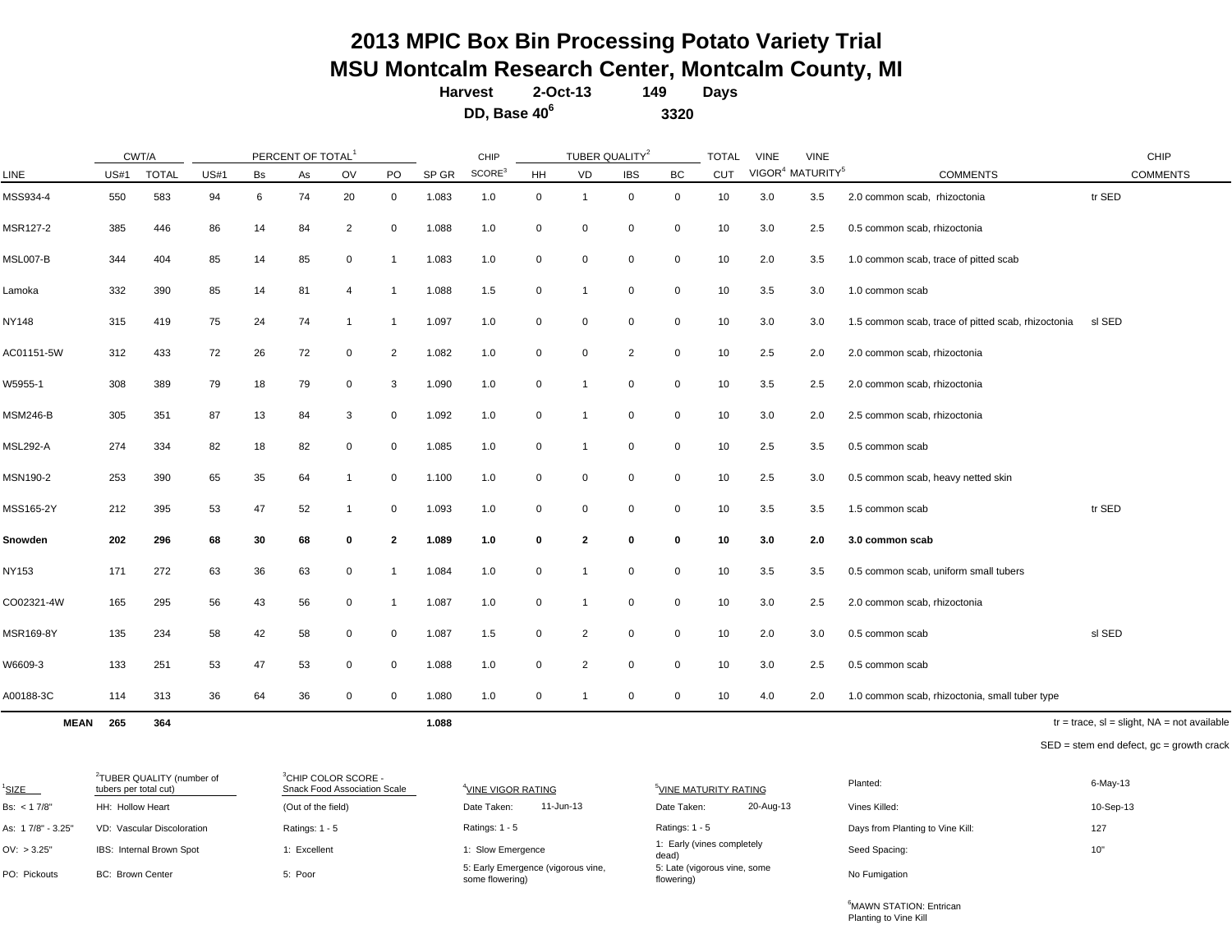# **2013 MPIC Box Bin Processing Potato Variety Trial MSU Montcalm Research Center, Montcalm County, MI**

**149 Harvest 2-Oct-13**

**DD, Base 40<sup>6</sup>**

**Days 3320**

|                 | CWT/A       |              |             |    | PERCENT OF TOTAL |                |                |       | CHIP               |             | TUBER QUALITY <sup>2</sup> |                |             | <b>TOTAL</b> | <b>VINE</b> | <b>VINE</b>                              |                                                    | CHIP            |
|-----------------|-------------|--------------|-------------|----|------------------|----------------|----------------|-------|--------------------|-------------|----------------------------|----------------|-------------|--------------|-------------|------------------------------------------|----------------------------------------------------|-----------------|
| LINE            | <b>US#1</b> | <b>TOTAL</b> | <b>US#1</b> | Bs | As               | OV             | PO             | SP GR | SCORE <sup>3</sup> | <b>HH</b>   | VD                         | <b>IBS</b>     | BC          | CUT          |             | VIGOR <sup>4</sup> MATURITY <sup>5</sup> | <b>COMMENTS</b>                                    | <b>COMMENTS</b> |
| MSS934-4        | 550         | 583          | 94          | 6  | 74               | 20             | 0              | 1.083 | 1.0                | 0           | -1                         | 0              | 0           | 10           | 3.0         | 3.5                                      | 2.0 common scab, rhizoctonia                       | tr SED          |
| MSR127-2        | 385         | 446          | 86          | 14 | 84               | $\overline{2}$ | 0              | 1.088 | 1.0                | 0           | $\mathbf 0$                | 0              | 0           | 10           | 3.0         | 2.5                                      | 0.5 common scab, rhizoctonia                       |                 |
| MSL007-B        | 344         | 404          | 85          | 14 | 85               | $\mathbf 0$    | $\mathbf 1$    | 1.083 | 1.0                | $\mathbf 0$ | $\mathbf 0$                | 0              | 0           | 10           | 2.0         | 3.5                                      | 1.0 common scab, trace of pitted scab              |                 |
| Lamoka          | 332         | 390          | 85          | 14 | 81               | $\overline{4}$ | $\mathbf 1$    | 1.088 | 1.5                | 0           | $\overline{\mathbf{1}}$    | 0              | 0           | 10           | 3.5         | 3.0                                      | 1.0 common scab                                    |                 |
| NY148           | 315         | 419          | 75          | 24 | 74               |                | 1              | 1.097 | 1.0                | $\mathbf 0$ | $\mathbf 0$                | 0              | 0           | 10           | 3.0         | 3.0                                      | 1.5 common scab, trace of pitted scab, rhizoctonia | sl SED          |
| AC01151-5W      | 312         | 433          | 72          | 26 | 72               | $\mathbf 0$    | $\overline{2}$ | 1.082 | 1.0                | 0           | $\mathbf 0$                | $\overline{2}$ | 0           | 10           | 2.5         | 2.0                                      | 2.0 common scab, rhizoctonia                       |                 |
| W5955-1         | 308         | 389          | 79          | 18 | 79               | $\mathbf 0$    | 3              | 1.090 | 1.0                | $\mathbf 0$ |                            | 0              | 0           | 10           | 3.5         | 2.5                                      | 2.0 common scab, rhizoctonia                       |                 |
| <b>MSM246-B</b> | 305         | 351          | 87          | 13 | 84               | 3              | 0              | 1.092 | 1.0                | $\mathbf 0$ |                            | 0              | 0           | 10           | 3.0         | 2.0                                      | 2.5 common scab, rhizoctonia                       |                 |
| <b>MSL292-A</b> | 274         | 334          | 82          | 18 | 82               | $\mathbf 0$    | 0              | 1.085 | 1.0                | 0           |                            | 0              | 0           | 10           | 2.5         | 3.5                                      | 0.5 common scab                                    |                 |
| MSN190-2        | 253         | 390          | 65          | 35 | 64               | -1             | 0              | 1.100 | 1.0                | 0           | $\mathbf 0$                | 0              | 0           | 10           | 2.5         | 3.0                                      | 0.5 common scab, heavy netted skin                 |                 |
| MSS165-2Y       | 212         | 395          | 53          | 47 | 52               | $\mathbf 1$    | 0              | 1.093 | 1.0                | $\mathbf 0$ | $\mathbf 0$                | 0              | 0           | 10           | 3.5         | 3.5                                      | 1.5 common scab                                    | tr SED          |
| Snowden         | 202         | 296          | 68          | 30 | 68               | 0              | $\mathbf{2}$   | 1.089 | 1.0                | 0           | $\overline{\mathbf{2}}$    | 0              | 0           | 10           | 3.0         | 2.0                                      | 3.0 common scab                                    |                 |
| NY153           | 171         | 272          | 63          | 36 | 63               | 0              | $\mathbf 1$    | 1.084 | 1.0                | 0           | $\mathbf 1$                | 0              | 0           | 10           | 3.5         | 3.5                                      | 0.5 common scab, uniform small tubers              |                 |
| CO02321-4W      | 165         | 295          | 56          | 43 | 56               | $\mathbf 0$    | $\mathbf 1$    | 1.087 | 1.0                | $\mathbf 0$ | $\overline{1}$             | 0              | 0           | 10           | 3.0         | 2.5                                      | 2.0 common scab, rhizoctonia                       |                 |
| MSR169-8Y       | 135         | 234          | 58          | 42 | 58               | $\mathbf 0$    | 0              | 1.087 | 1.5                | $\mathbf 0$ | $\overline{2}$             | 0              | $\mathbf 0$ | 10           | 2.0         | 3.0                                      | 0.5 common scab                                    | sl SED          |
| W6609-3         | 133         | 251          | 53          | 47 | 53               | $\mathbf 0$    | 0              | 1.088 | 1.0                | $\mathbf 0$ | $\overline{2}$             | 0              | 0           | 10           | 3.0         | 2.5                                      | 0.5 common scab                                    |                 |
| A00188-3C       | 114         | 313          | 36          | 64 | 36               | $\mathbf 0$    | 0              | 1.080 | 1.0                | 0           |                            | 0              | 0           | 10           | 4.0         | 2.0                                      | 1.0 common scab, rhizoctonia, small tuber type     |                 |

**MEAN 265 364 1.088**

 $tr = trace$ ,  $sl = slight$ ,  $NA = not available$ 

SED = stem end defect, gc = growth crack

| <sup>1</sup> SIZE | <sup>2</sup> TUBER QUALITY (number of<br>tubers per total cut) | <sup>3</sup> CHIP COLOR SCORE -<br><b>Snack Food Association Scale</b> | <sup>4</sup> VINE VIGOR RATING                        | <sup>5</sup> VINE MATURITY RATING          | Planted:                         | 6-May-13  |
|-------------------|----------------------------------------------------------------|------------------------------------------------------------------------|-------------------------------------------------------|--------------------------------------------|----------------------------------|-----------|
| Bs: < 17/8"       | HH: Hollow Heart                                               | (Out of the field)                                                     | 11-Jun-13<br>Date Taken:                              | 20-Aug-13<br>Date Taken:                   | Vines Killed:                    | 10-Sep-13 |
| As: 17/8" - 3.25" | VD: Vascular Discoloration                                     | Ratings: 1 - 5                                                         | Ratings: $1 - 5$                                      | Ratings: $1 - 5$                           | Days from Planting to Vine Kill: | 127       |
| OV: > 3.25"       | IBS: Internal Brown Spot                                       | 1: Excellent                                                           | 1: Slow Emergence                                     | 1: Early (vines completely<br>dead)        | Seed Spacing:                    | 10"       |
| PO: Pickouts      | <b>BC: Brown Center</b>                                        | 5: Poor                                                                | 5: Early Emergence (vigorous vine,<br>some flowering) | 5: Late (vigorous vine, some<br>flowering) | No Fumigation                    |           |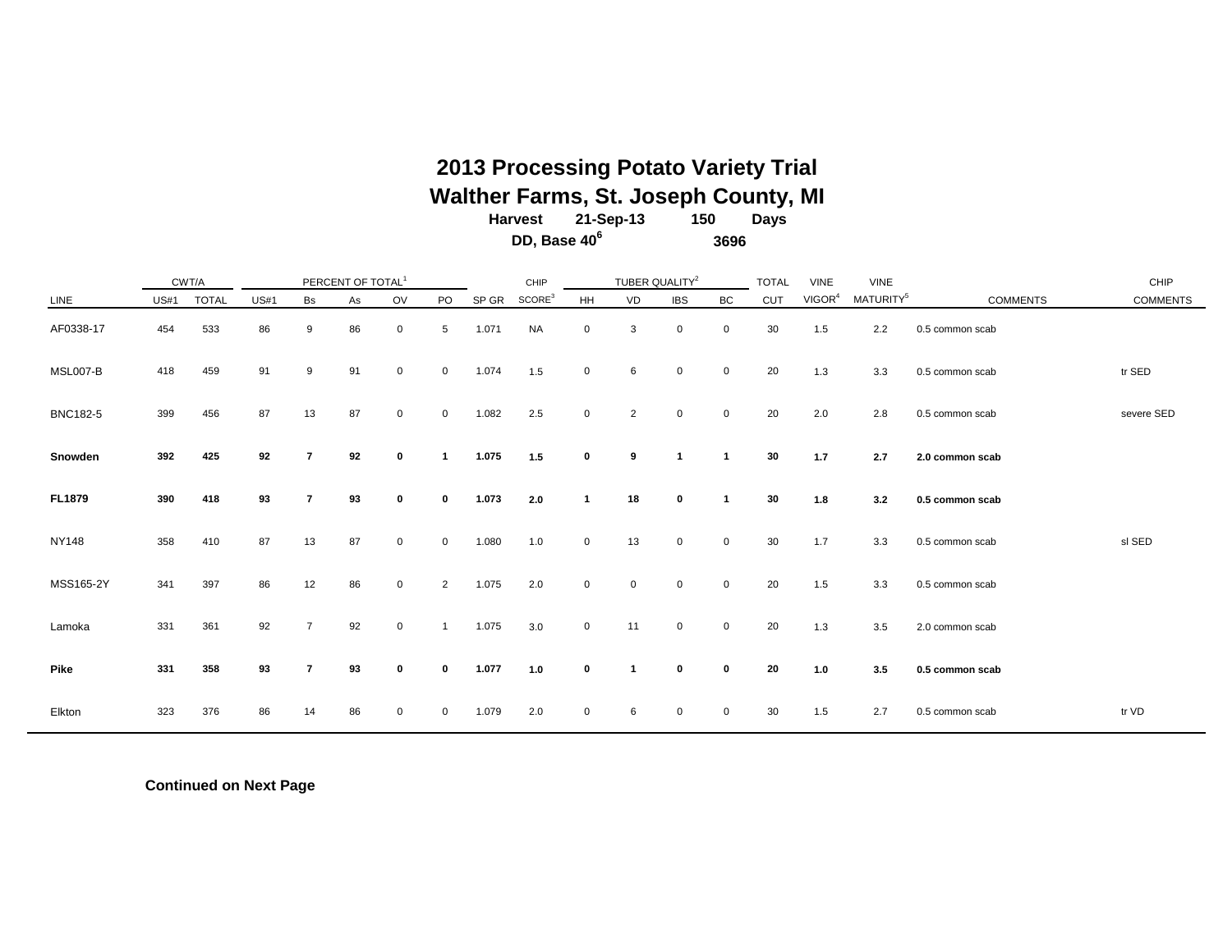## **2013 Processing Potato Variety Trial Walther Farms, St. Joseph County, MI**

| <b>Harvest</b>           | 21-Sep-13 | 150  | Days |
|--------------------------|-----------|------|------|
| DD, Base 40 <sup>6</sup> |           | 3696 |      |

|                 |             | CWT/A        |             |                | PERCENT OF TOTAL <sup>1</sup> |             |                |       | CHIP               |             | TUBER QUALITY <sup>2</sup> |             |              | <b>TOTAL</b> | <b>VINE</b>        | <b>VINE</b>           |                 | CHIP            |
|-----------------|-------------|--------------|-------------|----------------|-------------------------------|-------------|----------------|-------|--------------------|-------------|----------------------------|-------------|--------------|--------------|--------------------|-----------------------|-----------------|-----------------|
| LINE            | <b>US#1</b> | <b>TOTAL</b> | <b>US#1</b> | Bs             | As                            | OV          | <b>PO</b>      | SP GR | SCORE <sup>3</sup> | HH          | VD                         | <b>IBS</b>  | BC           | <b>CUT</b>   | VIGOR <sup>4</sup> | MATURITY <sup>5</sup> | <b>COMMENTS</b> | <b>COMMENTS</b> |
| AF0338-17       | 454         | 533          | 86          | 9              | 86                            | 0           | 5              | 1.071 | <b>NA</b>          | $\mathbf 0$ | 3                          | $\mathbf 0$ | $\mathbf 0$  | 30           | 1.5                | 2.2                   | 0.5 common scab |                 |
| MSL007-B        | 418         | 459          | 91          | 9              | 91                            | 0           | 0              | 1.074 | 1.5                | $\mathbf 0$ | 6                          | $\mathbf 0$ | $\mathbf 0$  | 20           | 1.3                | 3.3                   | 0.5 common scab | tr SED          |
| <b>BNC182-5</b> | 399         | 456          | 87          | 13             | 87                            | 0           | 0              | 1.082 | 2.5                | $\mathbf 0$ | $\overline{2}$             | $\mathbf 0$ | $\mathbf 0$  | 20           | 2.0                | 2.8                   | 0.5 common scab | severe SED      |
| Snowden         | 392         | 425          | 92          | 7              | 92                            | 0           |                | 1.075 | 1.5                | $\mathbf 0$ | 9                          | -1          | $\mathbf{1}$ | 30           | 1.7                | 2.7                   | 2.0 common scab |                 |
| <b>FL1879</b>   | 390         | 418          | 93          | 7              | 93                            | $\Omega$    | 0              | 1.073 | 2.0                |             | 18                         | $\mathbf 0$ | -1           | 30           | 1.8                | 3.2                   | 0.5 common scab |                 |
| <b>NY148</b>    | 358         | 410          | 87          | 13             | 87                            | $\mathbf 0$ | 0              | 1.080 | 1.0                | $\mathbf 0$ | 13                         | $\mathbf 0$ | $\mathbf 0$  | 30           | 1.7                | 3.3                   | 0.5 common scab | sl SED          |
| MSS165-2Y       | 341         | 397          | 86          | 12             | 86                            | $\mathbf 0$ | $\overline{2}$ | 1.075 | 2.0                | $\mathbf 0$ | $\mathbf 0$                | $\mathbf 0$ | $\mathbf 0$  | 20           | 1.5                | 3.3                   | 0.5 common scab |                 |
| Lamoka          | 331         | 361          | 92          | $\overline{7}$ | 92                            | 0           |                | 1.075 | 3.0                | $\mathbf 0$ | 11                         | $\mathbf 0$ | $\pmb{0}$    | 20           | 1.3                | 3.5                   | 2.0 common scab |                 |
| Pike            | 331         | 358          | 93          | 7              | 93                            | 0           | $\Omega$       | 1.077 | 1.0                | 0           | -1                         | $\mathbf 0$ | $\pmb{0}$    | 20           | 1.0                | 3.5                   | 0.5 common scab |                 |
| Elkton          | 323         | 376          | 86          | 14             | 86                            | 0           | 0              | 1.079 | 2.0                | 0           | 6                          | 0           | $\mathbf 0$  | 30           | 1.5                | 2.7                   | 0.5 common scab | tr VD           |

**Continued on Next Page**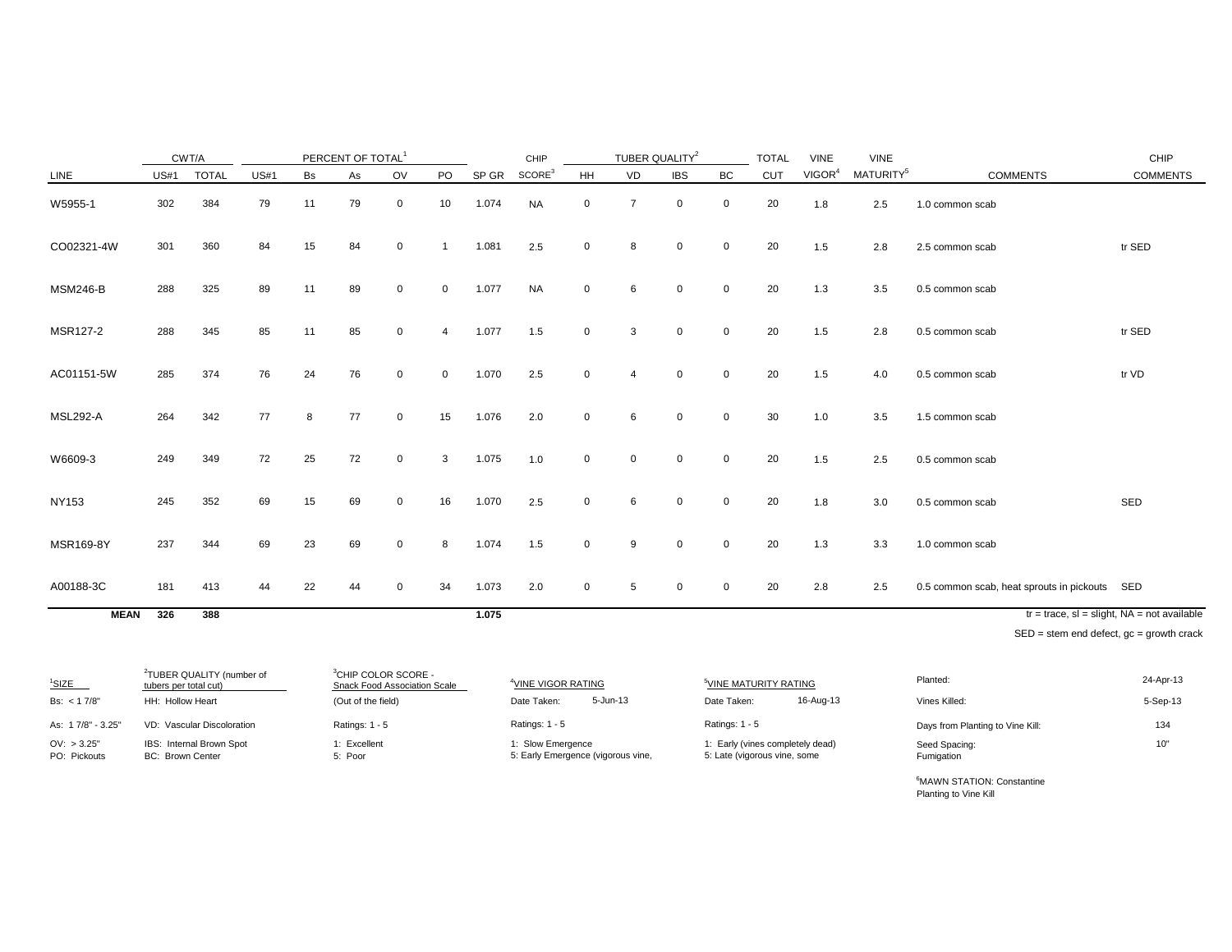|                 |             | CWT/A        |             |    | PERCENT OF TOTAL |              |                |       | CHIP               |             | TUBER QUALITY <sup>2</sup> |             |             | <b>TOTAL</b> | <b>VINE</b>        | <b>VINE</b>           |                                               | CHIP                                           |
|-----------------|-------------|--------------|-------------|----|------------------|--------------|----------------|-------|--------------------|-------------|----------------------------|-------------|-------------|--------------|--------------------|-----------------------|-----------------------------------------------|------------------------------------------------|
| LINE            | <b>US#1</b> | <b>TOTAL</b> | <b>US#1</b> | Bs | As               | OV           | PO             | SP GR | SCORE <sup>3</sup> | HH          | VD                         | <b>IBS</b>  | BC          | <b>CUT</b>   | VIGOR <sup>4</sup> | MATURITY <sup>5</sup> | <b>COMMENTS</b>                               | <b>COMMENTS</b>                                |
| W5955-1         | 302         | 384          | 79          | 11 | 79               | $\mathbf{0}$ | 10             | 1.074 | <b>NA</b>          | $\mathbf 0$ | $\overline{7}$             | $\mathbf 0$ | $\mathbf 0$ | 20           | 1.8                | 2.5                   | 1.0 common scab                               |                                                |
| CO02321-4W      | 301         | 360          | 84          | 15 | 84               | $\Omega$     |                | 1.081 | 2.5                | $\mathbf 0$ | 8                          | $\Omega$    | $\mathbf 0$ | 20           | 1.5                | 2.8                   | 2.5 common scab                               | tr SED                                         |
| <b>MSM246-B</b> | 288         | 325          | 89          | 11 | 89               | $\mathbf 0$  | $\mathbf 0$    | 1.077 | <b>NA</b>          | $\mathbf 0$ | 6                          | $\mathbf 0$ | $\mathbf 0$ | 20           | 1.3                | 3.5                   | 0.5 common scab                               |                                                |
| MSR127-2        | 288         | 345          | 85          | 11 | 85               | $\mathbf 0$  | $\overline{4}$ | 1.077 | 1.5                | $\mathbf 0$ | 3                          | $\mathbf 0$ | $\mathbf 0$ | 20           | 1.5                | 2.8                   | 0.5 common scab                               | tr SED                                         |
| AC01151-5W      | 285         | 374          | 76          | 24 | 76               | $\mathbf 0$  | 0              | 1.070 | 2.5                | $\Omega$    | 4                          | $\mathbf 0$ | 0           | 20           | 1.5                | 4.0                   | 0.5 common scab                               | tr VD                                          |
| <b>MSL292-A</b> | 264         | 342          | 77          | 8  | 77               | 0            | 15             | 1.076 | 2.0                | $\mathbf 0$ | 6                          | $\Omega$    | $\mathbf 0$ | 30           | 1.0                | 3.5                   | 1.5 common scab                               |                                                |
| W6609-3         | 249         | 349          | 72          | 25 | 72               | $\mathbf 0$  | 3              | 1.075 | 1.0                | $\mathbf 0$ | $\mathbf 0$                | $\mathbf 0$ | $\mathbf 0$ | 20           | 1.5                | 2.5                   | 0.5 common scab                               |                                                |
| <b>NY153</b>    | 245         | 352          | 69          | 15 | 69               | $\mathbf 0$  | 16             | 1.070 | 2.5                | 0           | 6                          | $\mathbf 0$ | $\mathbf 0$ | 20           | 1.8                | 3.0                   | 0.5 common scab                               | SED                                            |
| MSR169-8Y       | 237         | 344          | 69          | 23 | 69               | 0            | 8              | 1.074 | 1.5                | 0           | 9                          | $\Omega$    | $\mathbf 0$ | 20           | 1.3                | 3.3                   | 1.0 common scab                               |                                                |
| A00188-3C       | 181         | 413          | 44          | 22 | 44               | 0            | 34             | 1.073 | 2.0                | $\mathbf 0$ | 5                          | 0           | 0           | 20           | 2.8                | 2.5                   | 0.5 common scab, heat sprouts in pickouts SED |                                                |
| <b>MEAN</b>     | 326         | 388          |             |    |                  |              |                | 1.075 |                    |             |                            |             |             |              |                    |                       |                                               | $tr = trace$ , sl = slight, NA = not available |
|                 |             |              |             |    |                  |              |                |       |                    |             |                            |             |             |              |                    |                       | CED, atom and defect as arough arook          |                                                |

SED = stem end defect, gc = growth crack

| $1$ SIZE                    | <sup>2</sup> TUBER QUALITY (number of<br>tubers per total cut) | <sup>3</sup> CHIP COLOR SCORE -<br>Snack Food Association Scale | <sup>4</sup> VINE VIGOR RATING                          | <sup>5</sup> VINE MATURITY RATING                                | Planted:                         | 24-Apr-13 |
|-----------------------------|----------------------------------------------------------------|-----------------------------------------------------------------|---------------------------------------------------------|------------------------------------------------------------------|----------------------------------|-----------|
| Bs: $< 17/8"$               | HH: Hollow Heart                                               | (Out of the field)                                              | 5-Jun-13<br>Date Taken:                                 | 16-Aug-13<br>Date Taken:                                         | Vines Killed:                    | 5-Sep-13  |
| As: 17/8" - 3.25"           | VD: Vascular Discoloration                                     | Ratings: $1 - 5$                                                | Ratings: 1 - 5                                          | Ratings: $1 - 5$                                                 | Days from Planting to Vine Kill: | 134       |
| OV: > 3.25"<br>PO: Pickouts | IBS: Internal Brown Spot<br><b>BC: Brown Center</b>            | 1: Excellent<br>5: Poor                                         | 1: Slow Emergence<br>5: Early Emergence (vigorous vine, | 1: Early (vines completely dead)<br>5: Late (vigorous vine, some | Seed Spacing:<br>Fumigation      | 10"       |

<sup>6</sup>MAWN STATION: Constantine Planting to Vine Kill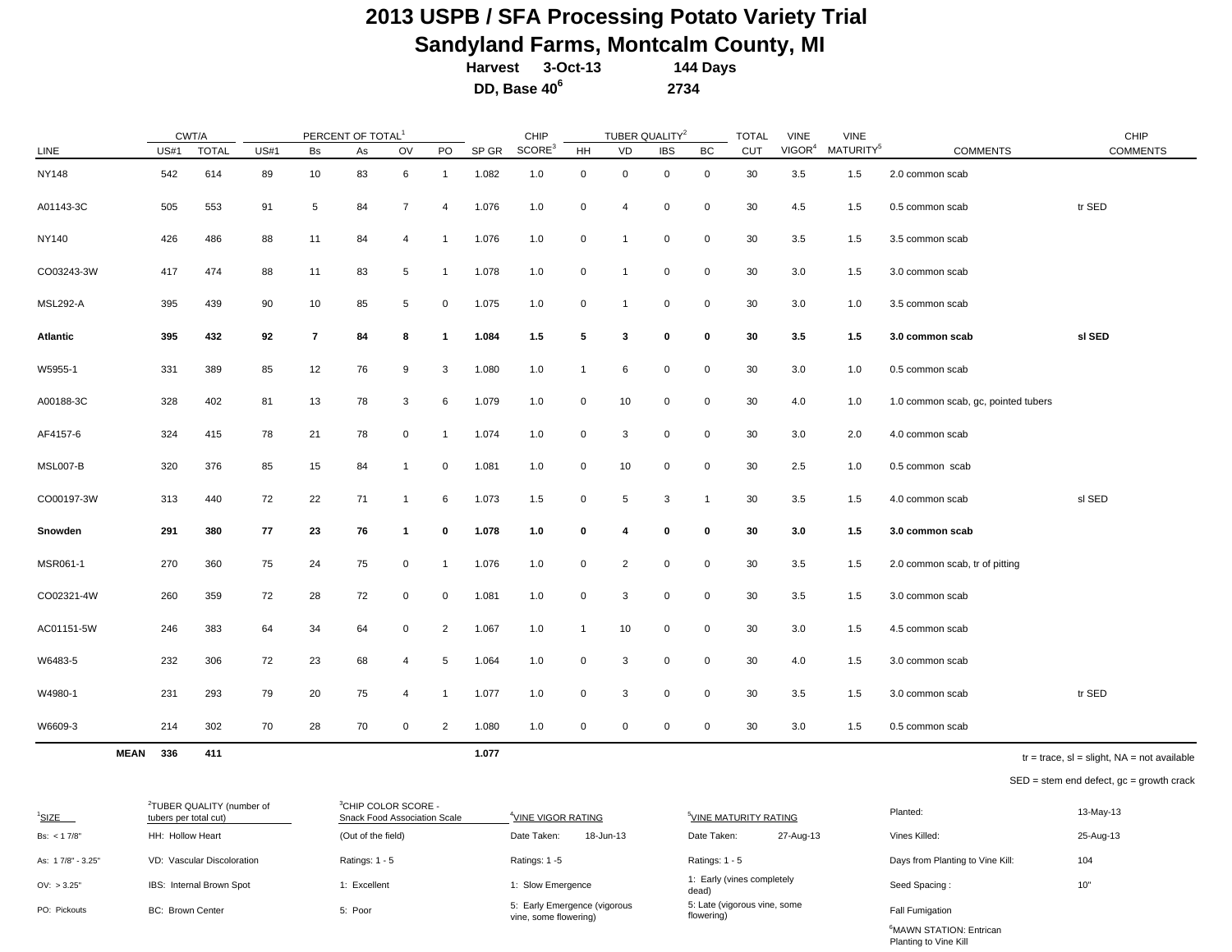# **2013 USPB / SFA Processing Potato Variety Trial Sandyland Farms, Montcalm County, MI**<br>Harvest 3-Oct-13 144 Days

Harvest 3-Oct-13  **DD, Base 406 2734**

|                 |             | CWT/A        |             |                | PERCENT OF TOTAL <sup>1</sup> |                |                |       | CHIP               |                | TUBER QUALITY <sup>2</sup> |             |              | <b>TOTAL</b> | <b>VINE</b>        | <b>VINE</b>           |                                     | CHIP            |
|-----------------|-------------|--------------|-------------|----------------|-------------------------------|----------------|----------------|-------|--------------------|----------------|----------------------------|-------------|--------------|--------------|--------------------|-----------------------|-------------------------------------|-----------------|
| LINE            | <b>US#1</b> | <b>TOTAL</b> | <b>US#1</b> | Bs             | As                            | OV             | PO             | SP GR | SCORE <sup>3</sup> | HH             | VD                         | <b>IBS</b>  | BC           | CUT          | VIGOR <sup>4</sup> | MATURITY <sup>5</sup> | <b>COMMENTS</b>                     | <b>COMMENTS</b> |
| <b>NY148</b>    | 542         | 614          | 89          | 10             | 83                            | 6              | $\mathbf{1}$   | 1.082 | 1.0                | 0              | $\mathbf 0$                | $\mathbf 0$ | 0            | 30           | 3.5                | 1.5                   | 2.0 common scab                     |                 |
| A01143-3C       | 505         | 553          | 91          | 5              | 84                            | $\overline{7}$ | 4              | 1.076 | 1.0                | 0              | $\overline{4}$             | 0           | 0            | 30           | 4.5                | 1.5                   | 0.5 common scab                     | tr SED          |
| NY140           | 426         | 486          | 88          | 11             | 84                            | 4              | $\mathbf{1}$   | 1.076 | 1.0                | 0              | $\overline{1}$             | 0           | 0            | 30           | 3.5                | 1.5                   | 3.5 common scab                     |                 |
| CO03243-3W      | 417         | 474          | 88          | 11             | 83                            | 5              | $\overline{1}$ | 1.078 | 1.0                | 0              | $\overline{1}$             | $\mathbf 0$ | 0            | 30           | 3.0                | 1.5                   | 3.0 common scab                     |                 |
| <b>MSL292-A</b> | 395         | 439          | 90          | 10             | 85                            | 5              | 0              | 1.075 | 1.0                | 0              | $\overline{1}$             | $\mathbf 0$ | 0            | 30           | 3.0                | 1.0                   | 3.5 common scab                     |                 |
| Atlantic        | 395         | 432          | 92          | $\overline{7}$ | 84                            | 8              | 1              | 1.084 | 1.5                | 5              | $\mathbf{3}$               | $\mathbf 0$ | 0            | 30           | 3.5                | 1.5                   | 3.0 common scab                     | sl SED          |
| W5955-1         | 331         | 389          | 85          | 12             | 76                            | 9              | 3              | 1.080 | 1.0                | $\mathbf{1}$   | 6                          | $\mathbf 0$ | 0            | 30           | 3.0                | 1.0                   | 0.5 common scab                     |                 |
| A00188-3C       | 328         | 402          | 81          | 13             | 78                            | 3              | 6              | 1.079 | 1.0                | 0              | 10                         | 0           | 0            | 30           | 4.0                | 1.0                   | 1.0 common scab, gc, pointed tubers |                 |
| AF4157-6        | 324         | 415          | 78          | 21             | 78                            | 0              | $\mathbf{1}$   | 1.074 | 1.0                | 0              | 3                          | 0           | 0            | 30           | 3.0                | 2.0                   | 4.0 common scab                     |                 |
| MSL007-B        | 320         | 376          | 85          | 15             | 84                            | $\mathbf 1$    | 0              | 1.081 | 1.0                | $\mathbf 0$    | 10                         | 0           | 0            | 30           | 2.5                | 1.0                   | 0.5 common scab                     |                 |
| CO00197-3W      | 313         | 440          | 72          | 22             | 71                            | $\mathbf{1}$   | 6              | 1.073 | 1.5                | $\mathbf 0$    | $\sqrt{5}$                 | 3           | $\mathbf{1}$ | 30           | 3.5                | 1.5                   | 4.0 common scab                     | sl SED          |
| Snowden         | 291         | 380          | 77          | 23             | 76                            | $\mathbf{1}$   | 0              | 1.078 | 1.0                | 0              | 4                          | 0           | 0            | 30           | 3.0                | 1.5                   | 3.0 common scab                     |                 |
| MSR061-1        | 270         | 360          | 75          | 24             | 75                            | 0              | $\overline{1}$ | 1.076 | 1.0                | 0              | $\overline{2}$             | $\mathbf 0$ | 0            | 30           | 3.5                | 1.5                   | 2.0 common scab, tr of pitting      |                 |
| CO02321-4W      | 260         | 359          | 72          | 28             | 72                            | 0              | 0              | 1.081 | 1.0                | 0              | 3                          | $\mathbf 0$ | $\mathsf{O}$ | 30           | 3.5                | 1.5                   | 3.0 common scab                     |                 |
| AC01151-5W      | 246         | 383          | 64          | 34             | 64                            | 0              | $\overline{2}$ | 1.067 | 1.0                | $\overline{1}$ | 10                         | $\mathbf 0$ | 0            | 30           | 3.0                | 1.5                   | 4.5 common scab                     |                 |
| W6483-5         | 232         | 306          | 72          | 23             | 68                            | 4              | 5              | 1.064 | 1.0                | 0              | 3                          | $\mathbf 0$ | 0            | 30           | 4.0                | 1.5                   | 3.0 common scab                     |                 |
| W4980-1         | 231         | 293          | 79          | 20             | 75                            | 4              | $\mathbf 1$    | 1.077 | 1.0                | 0              | 3                          | $\mathbf 0$ | 0            | 30           | 3.5                | 1.5                   | 3.0 common scab                     | tr SED          |
| W6609-3         | 214         | 302          | 70          | 28             | 70                            | 0              | $\overline{2}$ | 1.080 | 1.0                | 0              | $\mathbf 0$                | $\mathbf 0$ | 0            | 30           | 3.0                | 1.5                   | 0.5 common scab                     |                 |

**MEAN 336 411 1.077**

 $tr = trace$ ,  $sl = slight$ ,  $NA = not available$ 

SED = stem end defect, gc = growth crack

Planting to Vine Kill

| <sup>1</sup> SIZE | <sup>2</sup> TUBER QUALITY (number of<br>tubers per total cut) | $3$ CHIP COLOR SCORE -<br>Snack Food Association Scale | <sup>4</sup> VINE VIGOR RATING                        | <sup>5</sup> VINE MATURITY RATING          | Planted:                            | 13-May-13 |
|-------------------|----------------------------------------------------------------|--------------------------------------------------------|-------------------------------------------------------|--------------------------------------------|-------------------------------------|-----------|
| Bs: $< 17/8"$     | HH: Hollow Heart                                               | (Out of the field)                                     | 18-Jun-13<br>Date Taken:                              | 27-Aug-13<br>Date Taken:                   | Vines Killed:                       | 25-Aug-13 |
| As: 17/8" - 3.25" | VD: Vascular Discoloration                                     | Ratings: $1 - 5$                                       | Ratings: 1 -5                                         | Ratings: 1 - 5                             | Days from Planting to Vine Kill:    | 104       |
| OV: > 3.25"       | IBS: Internal Brown Spot                                       | : Excellent                                            | : Slow Emergence                                      | 1: Early (vines completely<br>dead)        | Seed Spacing:                       | 10"       |
| PO: Pickouts      | <b>BC: Brown Center</b>                                        | 5: Poor                                                | 5: Early Emergence (vigorous<br>vine, some flowering) | 5: Late (vigorous vine, some<br>flowering) | <b>Fall Fumigation</b>              |           |
|                   |                                                                |                                                        |                                                       |                                            | <sup>6</sup> MAWN STATION: Entrican |           |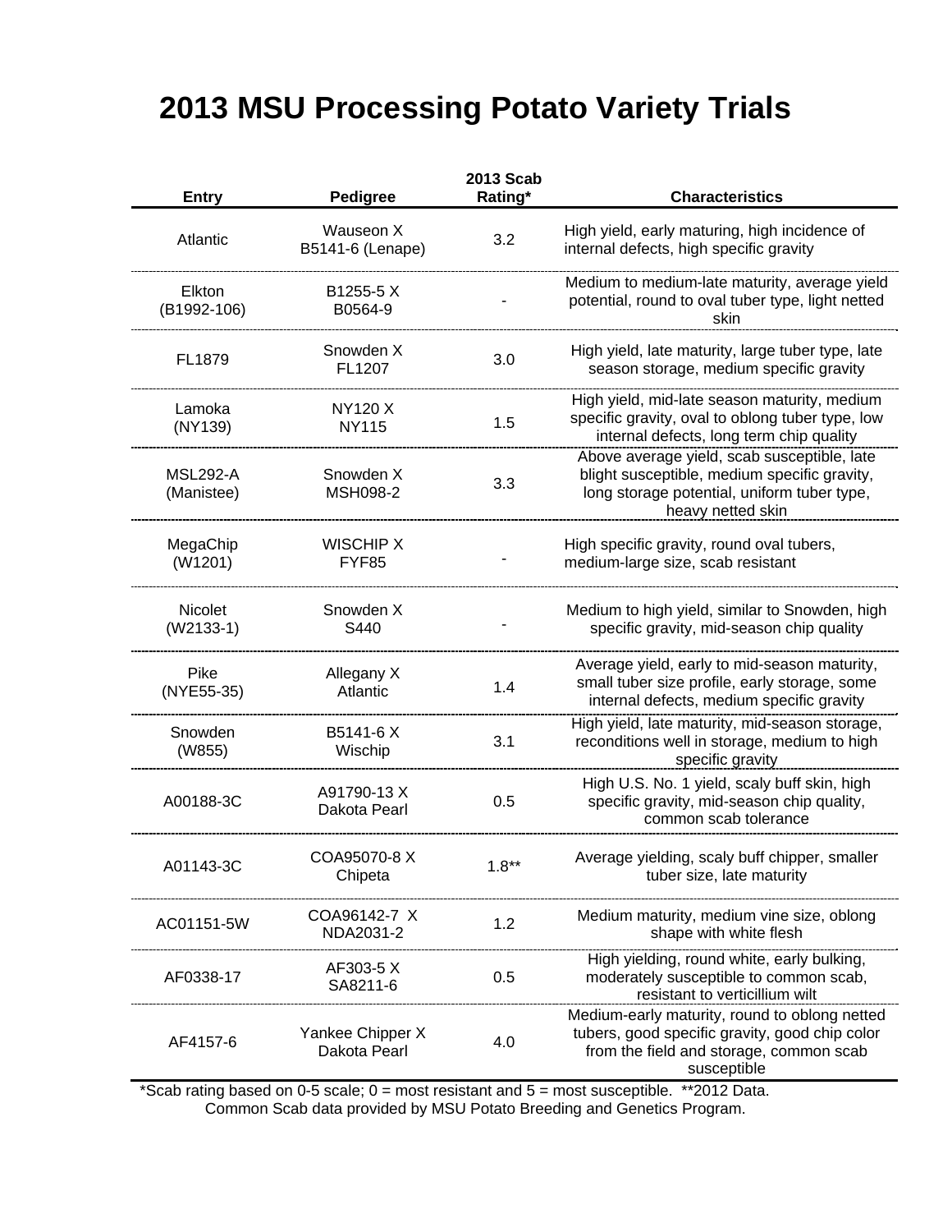# **2013 MSU Processing Potato Variety Trials**

|                               |                                  | 2013 Scab |                                                                                                                                                                 |
|-------------------------------|----------------------------------|-----------|-----------------------------------------------------------------------------------------------------------------------------------------------------------------|
| <b>Entry</b>                  | Pedigree                         | Rating*   | <b>Characteristics</b>                                                                                                                                          |
| Atlantic                      | Wauseon X<br>B5141-6 (Lenape)    | 3.2       | High yield, early maturing, high incidence of<br>internal defects, high specific gravity                                                                        |
| Elkton<br>(B1992-106)         | B1255-5 X<br>B0564-9             |           | Medium to medium-late maturity, average yield<br>potential, round to oval tuber type, light netted<br>skin                                                      |
| FL1879                        | Snowden X<br>FL1207              | 3.0       | High yield, late maturity, large tuber type, late<br>season storage, medium specific gravity                                                                    |
| Lamoka<br>(NY139)             | NY120 X<br><b>NY115</b>          | 1.5       | High yield, mid-late season maturity, medium<br>specific gravity, oval to oblong tuber type, low<br>internal defects, long term chip quality                    |
| <b>MSL292-A</b><br>(Manistee) | Snowden X<br><b>MSH098-2</b>     | 3.3       | Above average yield, scab susceptible, late<br>blight susceptible, medium specific gravity,<br>long storage potential, uniform tuber type,<br>heavy netted skin |
| MegaChip<br>(W1201)           | <b>WISCHIP X</b><br>FYF85        |           | High specific gravity, round oval tubers,<br>medium-large size, scab resistant                                                                                  |
| <b>Nicolet</b><br>$(W2133-1)$ | Snowden X<br>S440                |           | Medium to high yield, similar to Snowden, high<br>specific gravity, mid-season chip quality                                                                     |
| Pike<br>(NYE55-35)            | Allegany X<br>Atlantic           | 1.4       | Average yield, early to mid-season maturity,<br>small tuber size profile, early storage, some<br>internal defects, medium specific gravity                      |
| Snowden<br>(W855)             | B5141-6 X<br>Wischip             | 3.1       | High yield, late maturity, mid-season storage,<br>reconditions well in storage, medium to high<br>specific gravity                                              |
| A00188-3C                     | A91790-13 X<br>Dakota Pearl      | 0.5       | High U.S. No. 1 yield, scaly buff skin, high<br>specific gravity, mid-season chip quality,<br>common scab tolerance                                             |
| A01143-3C                     | COA95070-8 X<br>Chipeta          | $1.8**$   | Average yielding, scaly buff chipper, smaller<br>tuber size, late maturity                                                                                      |
| AC01151-5W                    | COA96142-7 X<br>NDA2031-2        | 1.2       | Medium maturity, medium vine size, oblong<br>shape with white flesh                                                                                             |
| AF0338-17                     | AF303-5 X<br>SA8211-6            | 0.5       | High yielding, round white, early bulking,<br>moderately susceptible to common scab,<br>resistant to verticillium wilt                                          |
| AF4157-6                      | Yankee Chipper X<br>Dakota Pearl | 4.0       | Medium-early maturity, round to oblong netted<br>tubers, good specific gravity, good chip color<br>from the field and storage, common scab<br>susceptible       |

\*Scab rating based on 0-5 scale; 0 = most resistant and 5 = most susceptible. \*\*2012 Data. Common Scab data provided by MSU Potato Breeding and Genetics Program.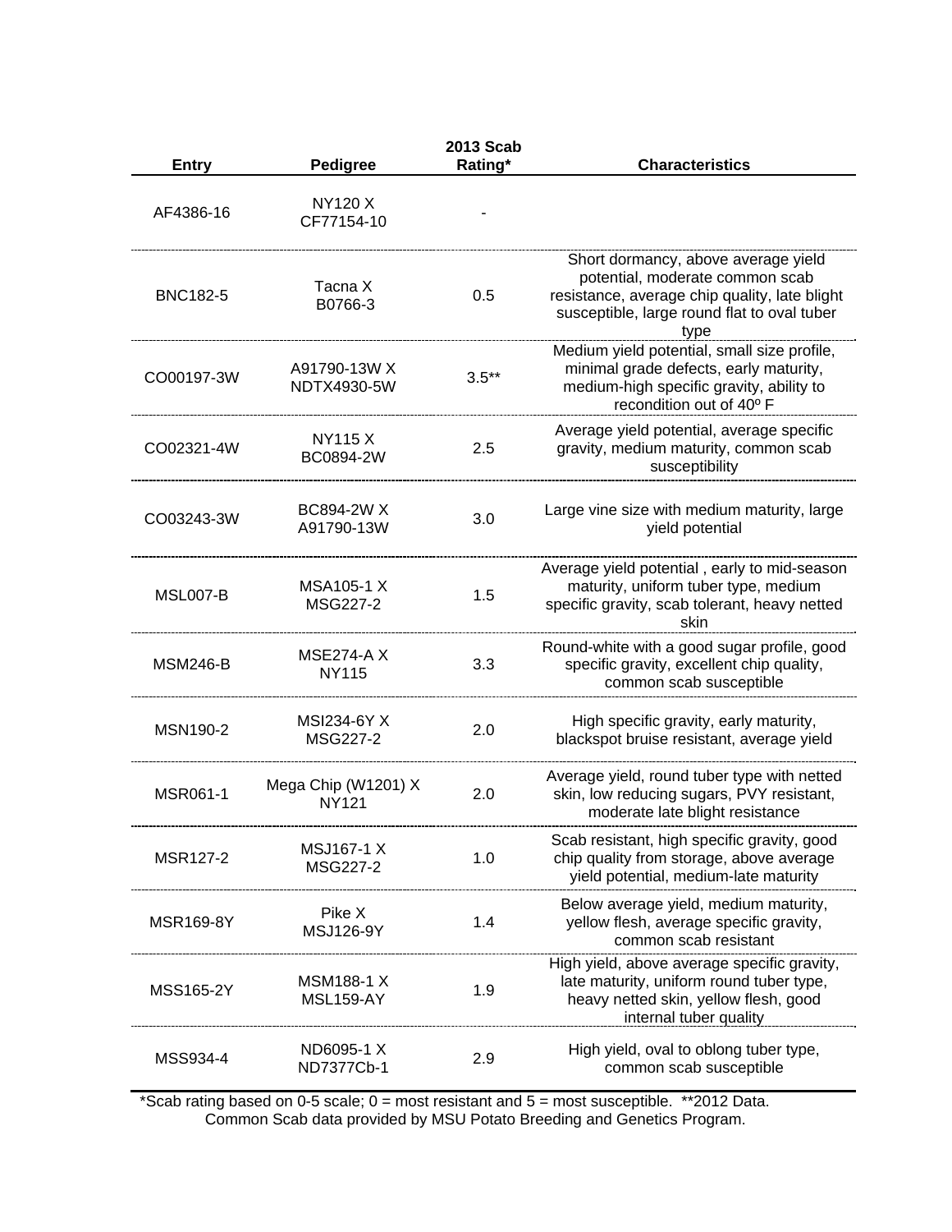|                 |                                       | 2013 Scab |                                                                                                                                                                                |
|-----------------|---------------------------------------|-----------|--------------------------------------------------------------------------------------------------------------------------------------------------------------------------------|
| <b>Entry</b>    | <b>Pedigree</b>                       | Rating*   | <b>Characteristics</b>                                                                                                                                                         |
| AF4386-16       | <b>NY120 X</b><br>CF77154-10          |           |                                                                                                                                                                                |
| <b>BNC182-5</b> | Tacna X<br>B0766-3                    | 0.5       | Short dormancy, above average yield<br>potential, moderate common scab<br>resistance, average chip quality, late blight<br>susceptible, large round flat to oval tuber<br>type |
| CO00197-3W      | A91790-13W X<br>NDTX4930-5W           | $3.5**$   | Medium yield potential, small size profile,<br>minimal grade defects, early maturity,<br>medium-high specific gravity, ability to<br>recondition out of 40° F                  |
| CO02321-4W      | NY115 X<br>BC0894-2W                  | 2.5       | Average yield potential, average specific<br>gravity, medium maturity, common scab<br>susceptibility                                                                           |
| CO03243-3W      | <b>BC894-2W X</b><br>A91790-13W       | 3.0       | Large vine size with medium maturity, large<br>yield potential                                                                                                                 |
| <b>MSL007-B</b> | <b>MSA105-1 X</b><br>MSG227-2         | 1.5       | Average yield potential, early to mid-season<br>maturity, uniform tuber type, medium<br>specific gravity, scab tolerant, heavy netted<br>skin                                  |
| <b>MSM246-B</b> | <b>MSE274-A X</b><br><b>NY115</b>     | 3.3       | Round-white with a good sugar profile, good<br>specific gravity, excellent chip quality,<br>common scab susceptible                                                            |
| <b>MSN190-2</b> | <b>MSI234-6Y X</b><br>MSG227-2        | 2.0       | High specific gravity, early maturity,<br>blackspot bruise resistant, average yield                                                                                            |
| MSR061-1        | Mega Chip (W1201) X<br><b>NY121</b>   | 2.0       | Average yield, round tuber type with netted<br>skin, low reducing sugars, PVY resistant,<br>moderate late blight resistance                                                    |
| <b>MSR127-2</b> | <b>MSJ167-1 X</b><br>MSG227-2         | 1.0       | Scab resistant, high specific gravity, good<br>chip quality from storage, above average<br>yield potential, medium-late maturity                                               |
| MSR169-8Y       | Pike X<br>MSJ126-9Y                   | 1.4       | Below average yield, medium maturity,<br>yellow flesh, average specific gravity,<br>common scab resistant                                                                      |
| MSS165-2Y       | <b>MSM188-1 X</b><br><b>MSL159-AY</b> | 1.9       | High yield, above average specific gravity,<br>late maturity, uniform round tuber type,<br>heavy netted skin, yellow flesh, good<br>internal tuber quality                     |
| MSS934-4        | ND6095-1 X<br>ND7377Cb-1              | 2.9       | High yield, oval to oblong tuber type,<br>common scab susceptible                                                                                                              |

\*Scab rating based on 0-5 scale; 0 = most resistant and 5 = most susceptible. \*\*2012 Data. Common Scab data provided by MSU Potato Breeding and Genetics Program.